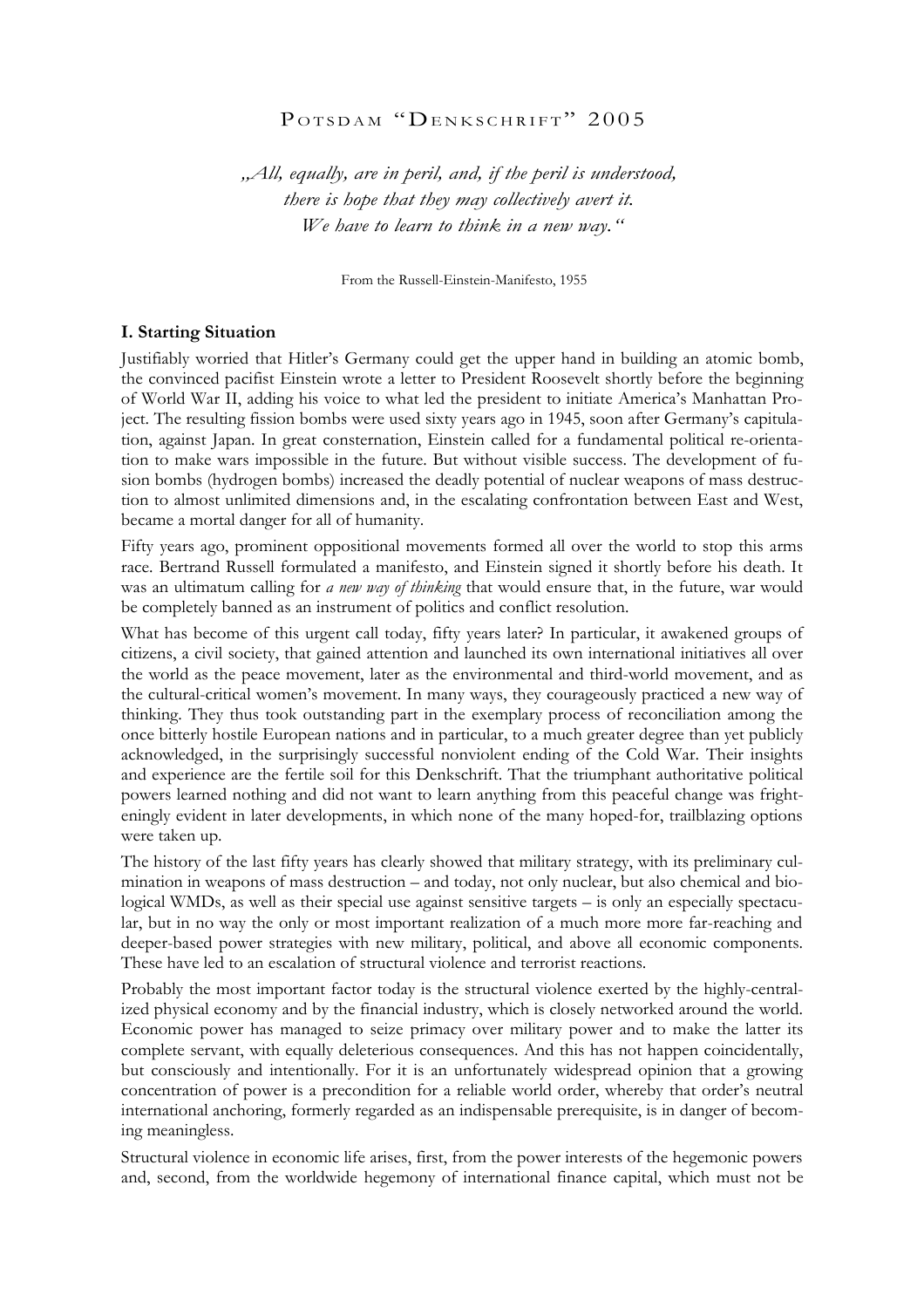# POTSDAM "DENKSCHRIFT" 2005

*"All, equally, are in peril, and, if the peril is understood, there is hope that they may collectively avert it. We have to learn to think in a new way."*

From the Russell-Einstein-Manifesto, 1955

# **I. Starting Situation**

Justifiably worried that Hitler's Germany could get the upper hand in building an atomic bomb, the convinced pacifist Einstein wrote a letter to President Roosevelt shortly before the beginning of World War II, adding his voice to what led the president to initiate America's Manhattan Project. The resulting fission bombs were used sixty years ago in 1945, soon after Germany's capitulation, against Japan. In great consternation, Einstein called for a fundamental political re-orientation to make wars impossible in the future. But without visible success. The development of fusion bombs (hydrogen bombs) increased the deadly potential of nuclear weapons of mass destruction to almost unlimited dimensions and, in the escalating confrontation between East and West, became a mortal danger for all of humanity.

Fifty years ago, prominent oppositional movements formed all over the world to stop this arms race. Bertrand Russell formulated a manifesto, and Einstein signed it shortly before his death. It was an ultimatum calling for *a new way of thinking* that would ensure that, in the future, war would be completely banned as an instrument of politics and conflict resolution.

What has become of this urgent call today, fifty years later? In particular, it awakened groups of citizens, a civil society, that gained attention and launched its own international initiatives all over the world as the peace movement, later as the environmental and third-world movement, and as the cultural-critical women's movement. In many ways, they courageously practiced a new way of thinking. They thus took outstanding part in the exemplary process of reconciliation among the once bitterly hostile European nations and in particular, to a much greater degree than yet publicly acknowledged, in the surprisingly successful nonviolent ending of the Cold War. Their insights and experience are the fertile soil for this Denkschrift. That the triumphant authoritative political powers learned nothing and did not want to learn anything from this peaceful change was frighteningly evident in later developments, in which none of the many hoped-for, trailblazing options were taken up.

The history of the last fifty years has clearly showed that military strategy, with its preliminary culmination in weapons of mass destruction – and today, not only nuclear, but also chemical and biological WMDs, as well as their special use against sensitive targets – is only an especially spectacular, but in no way the only or most important realization of a much more more far-reaching and deeper-based power strategies with new military, political, and above all economic components. These have led to an escalation of structural violence and terrorist reactions.

Probably the most important factor today is the structural violence exerted by the highly-centralized physical economy and by the financial industry, which is closely networked around the world. Economic power has managed to seize primacy over military power and to make the latter its complete servant, with equally deleterious consequences. And this has not happen coincidentally, but consciously and intentionally. For it is an unfortunately widespread opinion that a growing concentration of power is a precondition for a reliable world order, whereby that order's neutral international anchoring, formerly regarded as an indispensable prerequisite, is in danger of becoming meaningless.

Structural violence in economic life arises, first, from the power interests of the hegemonic powers and, second, from the worldwide hegemony of international finance capital, which must not be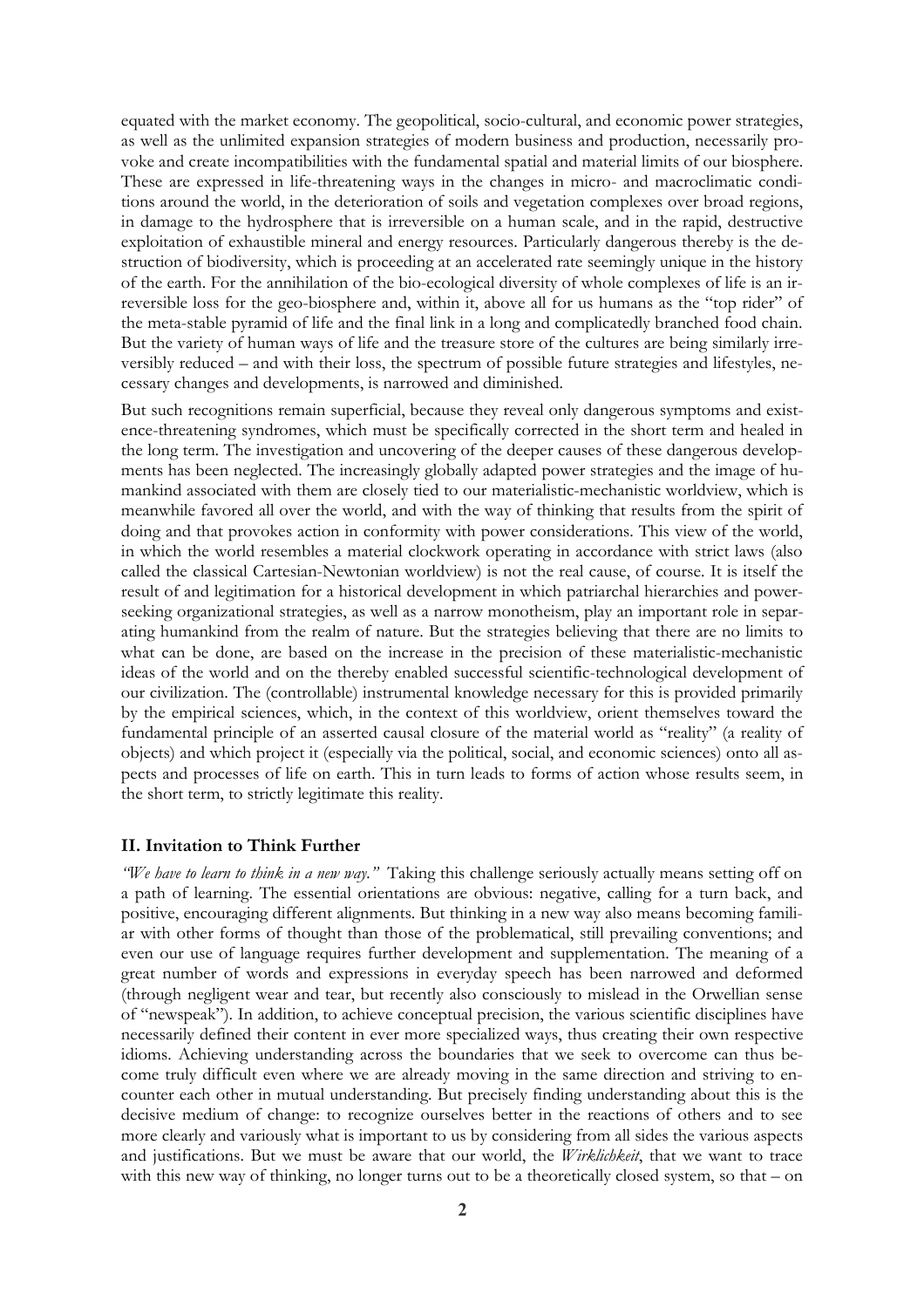equated with the market economy. The geopolitical, socio-cultural, and economic power strategies, as well as the unlimited expansion strategies of modern business and production, necessarily provoke and create incompatibilities with the fundamental spatial and material limits of our biosphere. These are expressed in life-threatening ways in the changes in micro- and macroclimatic conditions around the world, in the deterioration of soils and vegetation complexes over broad regions, in damage to the hydrosphere that is irreversible on a human scale, and in the rapid, destructive exploitation of exhaustible mineral and energy resources. Particularly dangerous thereby is the destruction of biodiversity, which is proceeding at an accelerated rate seemingly unique in the history of the earth. For the annihilation of the bio-ecological diversity of whole complexes of life is an irreversible loss for the geo-biosphere and, within it, above all for us humans as the "top rider" of the meta-stable pyramid of life and the final link in a long and complicatedly branched food chain. But the variety of human ways of life and the treasure store of the cultures are being similarly irreversibly reduced – and with their loss, the spectrum of possible future strategies and lifestyles, necessary changes and developments, is narrowed and diminished.

But such recognitions remain superficial, because they reveal only dangerous symptoms and existence-threatening syndromes, which must be specifically corrected in the short term and healed in the long term. The investigation and uncovering of the deeper causes of these dangerous developments has been neglected. The increasingly globally adapted power strategies and the image of humankind associated with them are closely tied to our materialistic-mechanistic worldview, which is meanwhile favored all over the world, and with the way of thinking that results from the spirit of doing and that provokes action in conformity with power considerations. This view of the world, in which the world resembles a material clockwork operating in accordance with strict laws (also called the classical Cartesian-Newtonian worldview) is not the real cause, of course. It is itself the result of and legitimation for a historical development in which patriarchal hierarchies and powerseeking organizational strategies, as well as a narrow monotheism, play an important role in separating humankind from the realm of nature. But the strategies believing that there are no limits to what can be done, are based on the increase in the precision of these materialistic-mechanistic ideas of the world and on the thereby enabled successful scientific-technological development of our civilization. The (controllable) instrumental knowledge necessary for this is provided primarily by the empirical sciences, which, in the context of this worldview, orient themselves toward the fundamental principle of an asserted causal closure of the material world as "reality" (a reality of objects) and which project it (especially via the political, social, and economic sciences) onto all aspects and processes of life on earth. This in turn leads to forms of action whose results seem, in the short term, to strictly legitimate this reality.

#### **II. Invitation to Think Further**

*"We have to learn to think in a new way."* Taking this challenge seriously actually means setting off on a path of learning. The essential orientations are obvious: negative, calling for a turn back, and positive, encouraging different alignments. But thinking in a new way also means becoming familiar with other forms of thought than those of the problematical, still prevailing conventions; and even our use of language requires further development and supplementation. The meaning of a great number of words and expressions in everyday speech has been narrowed and deformed (through negligent wear and tear, but recently also consciously to mislead in the Orwellian sense of "newspeak"). In addition, to achieve conceptual precision, the various scientific disciplines have necessarily defined their content in ever more specialized ways, thus creating their own respective idioms. Achieving understanding across the boundaries that we seek to overcome can thus become truly difficult even where we are already moving in the same direction and striving to encounter each other in mutual understanding. But precisely finding understanding about this is the decisive medium of change: to recognize ourselves better in the reactions of others and to see more clearly and variously what is important to us by considering from all sides the various aspects and justifications. But we must be aware that our world, the *Wirklichkeit*, that we want to trace with this new way of thinking, no longer turns out to be a theoretically closed system, so that – on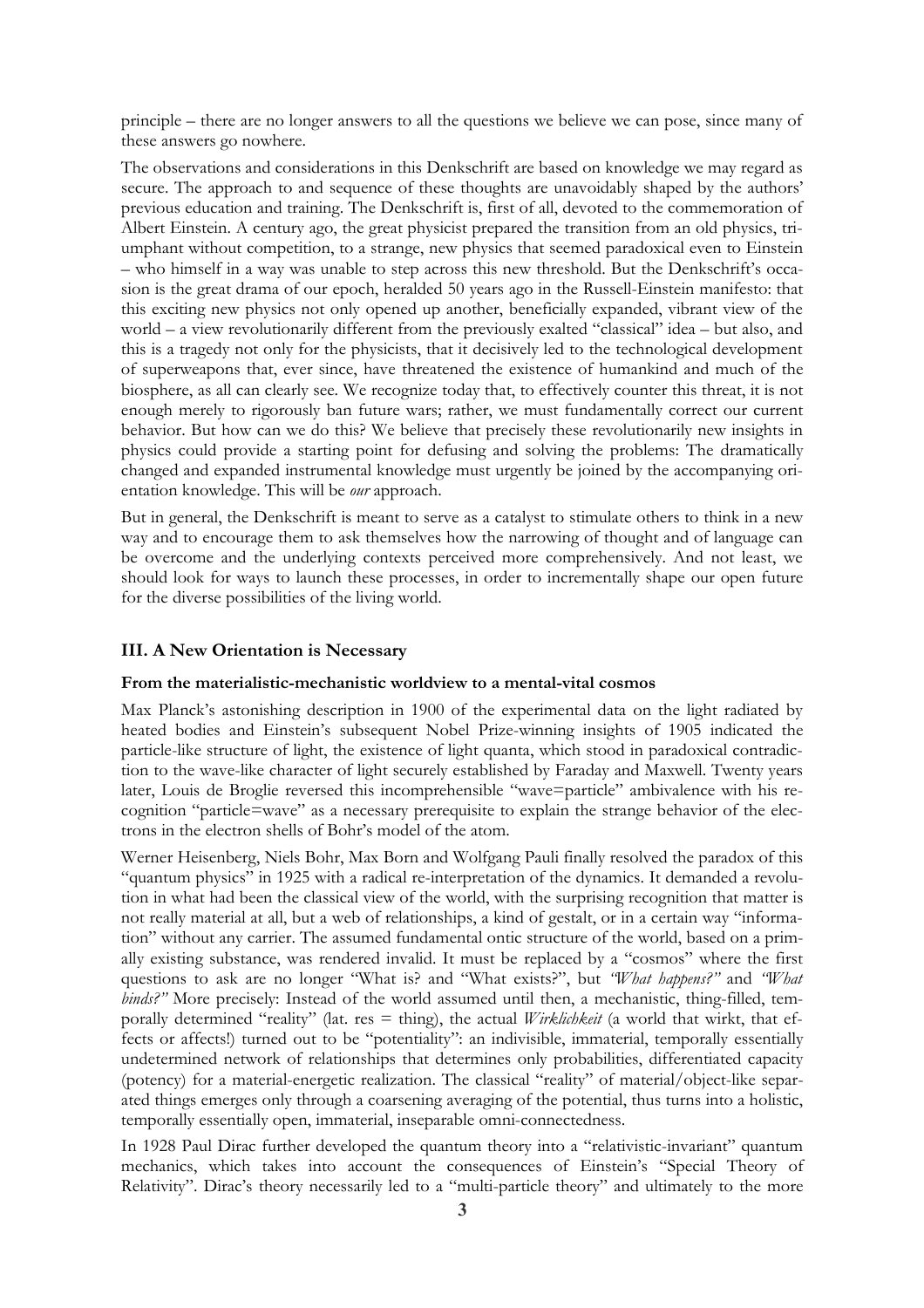principle – there are no longer answers to all the questions we believe we can pose, since many of these answers go nowhere.

The observations and considerations in this Denkschrift are based on knowledge we may regard as secure. The approach to and sequence of these thoughts are unavoidably shaped by the authors' previous education and training. The Denkschrift is, first of all, devoted to the commemoration of Albert Einstein. A century ago, the great physicist prepared the transition from an old physics, triumphant without competition, to a strange, new physics that seemed paradoxical even to Einstein – who himself in a way was unable to step across this new threshold. But the Denkschrift's occasion is the great drama of our epoch, heralded 50 years ago in the Russell-Einstein manifesto: that this exciting new physics not only opened up another, beneficially expanded, vibrant view of the world – a view revolutionarily different from the previously exalted "classical" idea – but also, and this is a tragedy not only for the physicists, that it decisively led to the technological development of superweapons that, ever since, have threatened the existence of humankind and much of the biosphere, as all can clearly see. We recognize today that, to effectively counter this threat, it is not enough merely to rigorously ban future wars; rather, we must fundamentally correct our current behavior. But how can we do this? We believe that precisely these revolutionarily new insights in physics could provide a starting point for defusing and solving the problems: The dramatically changed and expanded instrumental knowledge must urgently be joined by the accompanying orientation knowledge. This will be *our* approach.

But in general, the Denkschrift is meant to serve as a catalyst to stimulate others to think in a new way and to encourage them to ask themselves how the narrowing of thought and of language can be overcome and the underlying contexts perceived more comprehensively. And not least, we should look for ways to launch these processes, in order to incrementally shape our open future for the diverse possibilities of the living world.

### **III. A New Orientation is Necessary**

#### **From the materialistic-mechanistic worldview to a mental-vital cosmos**

Max Planck's astonishing description in 1900 of the experimental data on the light radiated by heated bodies and Einstein's subsequent Nobel Prize-winning insights of 1905 indicated the particle-like structure of light, the existence of light quanta, which stood in paradoxical contradiction to the wave-like character of light securely established by Faraday and Maxwell. Twenty years later, Louis de Broglie reversed this incomprehensible "wave=particle" ambivalence with his recognition "particle=wave" as a necessary prerequisite to explain the strange behavior of the electrons in the electron shells of Bohr's model of the atom.

Werner Heisenberg, Niels Bohr, Max Born and Wolfgang Pauli finally resolved the paradox of this "quantum physics" in 1925 with a radical re-interpretation of the dynamics. It demanded a revolution in what had been the classical view of the world, with the surprising recognition that matter is not really material at all, but a web of relationships, a kind of gestalt, or in a certain way "information" without any carrier. The assumed fundamental ontic structure of the world, based on a primally existing substance, was rendered invalid. It must be replaced by a "cosmos" where the first questions to ask are no longer "What is? and "What exists?", but *"What happens?"* and *"What binds?"* More precisely: Instead of the world assumed until then, a mechanistic, thing-filled, temporally determined "reality" (lat. res = thing), the actual *Wirklichkeit* (a world that wirkt, that effects or affects!) turned out to be "potentiality": an indivisible, immaterial, temporally essentially undetermined network of relationships that determines only probabilities, differentiated capacity (potency) for a material-energetic realization. The classical "reality" of material/object-like separated things emerges only through a coarsening averaging of the potential, thus turns into a holistic, temporally essentially open, immaterial, inseparable omni-connectedness.

In 1928 Paul Dirac further developed the quantum theory into a "relativistic-invariant" quantum mechanics, which takes into account the consequences of Einstein's "Special Theory of Relativity". Dirac's theory necessarily led to a "multi-particle theory" and ultimately to the more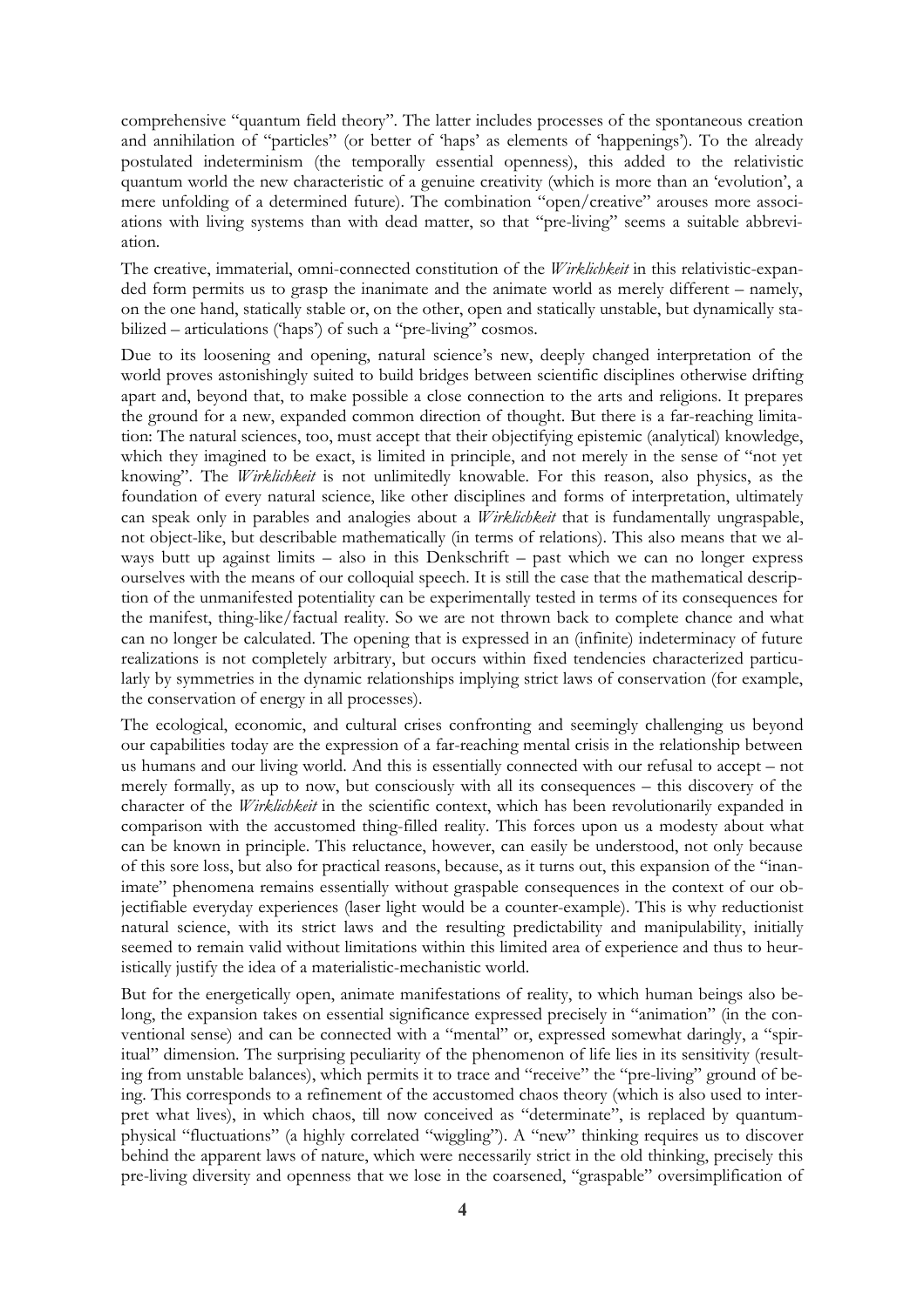comprehensive "quantum field theory". The latter includes processes of the spontaneous creation and annihilation of "particles" (or better of 'haps' as elements of 'happenings'). To the already postulated indeterminism (the temporally essential openness), this added to the relativistic quantum world the new characteristic of a genuine creativity (which is more than an 'evolution', a mere unfolding of a determined future). The combination "open/creative" arouses more associations with living systems than with dead matter, so that "pre-living" seems a suitable abbreviation.

The creative, immaterial, omni-connected constitution of the *Wirklichkeit* in this relativistic-expanded form permits us to grasp the inanimate and the animate world as merely different – namely, on the one hand, statically stable or, on the other, open and statically unstable, but dynamically stabilized – articulations ('haps') of such a "pre-living" cosmos.

Due to its loosening and opening, natural science's new, deeply changed interpretation of the world proves astonishingly suited to build bridges between scientific disciplines otherwise drifting apart and, beyond that, to make possible a close connection to the arts and religions. It prepares the ground for a new, expanded common direction of thought. But there is a far-reaching limitation: The natural sciences, too, must accept that their objectifying epistemic (analytical) knowledge, which they imagined to be exact, is limited in principle, and not merely in the sense of "not yet knowing". The *Wirklichkeit* is not unlimitedly knowable. For this reason, also physics, as the foundation of every natural science, like other disciplines and forms of interpretation, ultimately can speak only in parables and analogies about a *Wirklichkeit* that is fundamentally ungraspable, not object-like, but describable mathematically (in terms of relations). This also means that we always butt up against limits – also in this Denkschrift – past which we can no longer express ourselves with the means of our colloquial speech. It is still the case that the mathematical description of the unmanifested potentiality can be experimentally tested in terms of its consequences for the manifest, thing-like/factual reality. So we are not thrown back to complete chance and what can no longer be calculated. The opening that is expressed in an (infinite) indeterminacy of future realizations is not completely arbitrary, but occurs within fixed tendencies characterized particularly by symmetries in the dynamic relationships implying strict laws of conservation (for example, the conservation of energy in all processes).

The ecological, economic, and cultural crises confronting and seemingly challenging us beyond our capabilities today are the expression of a far-reaching mental crisis in the relationship between us humans and our living world. And this is essentially connected with our refusal to accept – not merely formally, as up to now, but consciously with all its consequences – this discovery of the character of the *Wirklichkeit* in the scientific context, which has been revolutionarily expanded in comparison with the accustomed thing-filled reality. This forces upon us a modesty about what can be known in principle. This reluctance, however, can easily be understood, not only because of this sore loss, but also for practical reasons, because, as it turns out, this expansion of the "inanimate" phenomena remains essentially without graspable consequences in the context of our objectifiable everyday experiences (laser light would be a counter-example). This is why reductionist natural science, with its strict laws and the resulting predictability and manipulability, initially seemed to remain valid without limitations within this limited area of experience and thus to heuristically justify the idea of a materialistic-mechanistic world.

But for the energetically open, animate manifestations of reality, to which human beings also belong, the expansion takes on essential significance expressed precisely in "animation" (in the conventional sense) and can be connected with a "mental" or, expressed somewhat daringly, a "spiritual" dimension. The surprising peculiarity of the phenomenon of life lies in its sensitivity (resulting from unstable balances), which permits it to trace and "receive" the "pre-living" ground of being. This corresponds to a refinement of the accustomed chaos theory (which is also used to interpret what lives), in which chaos, till now conceived as "determinate", is replaced by quantumphysical "fluctuations" (a highly correlated "wiggling"). A "new" thinking requires us to discover behind the apparent laws of nature, which were necessarily strict in the old thinking, precisely this pre-living diversity and openness that we lose in the coarsened, "graspable" oversimplification of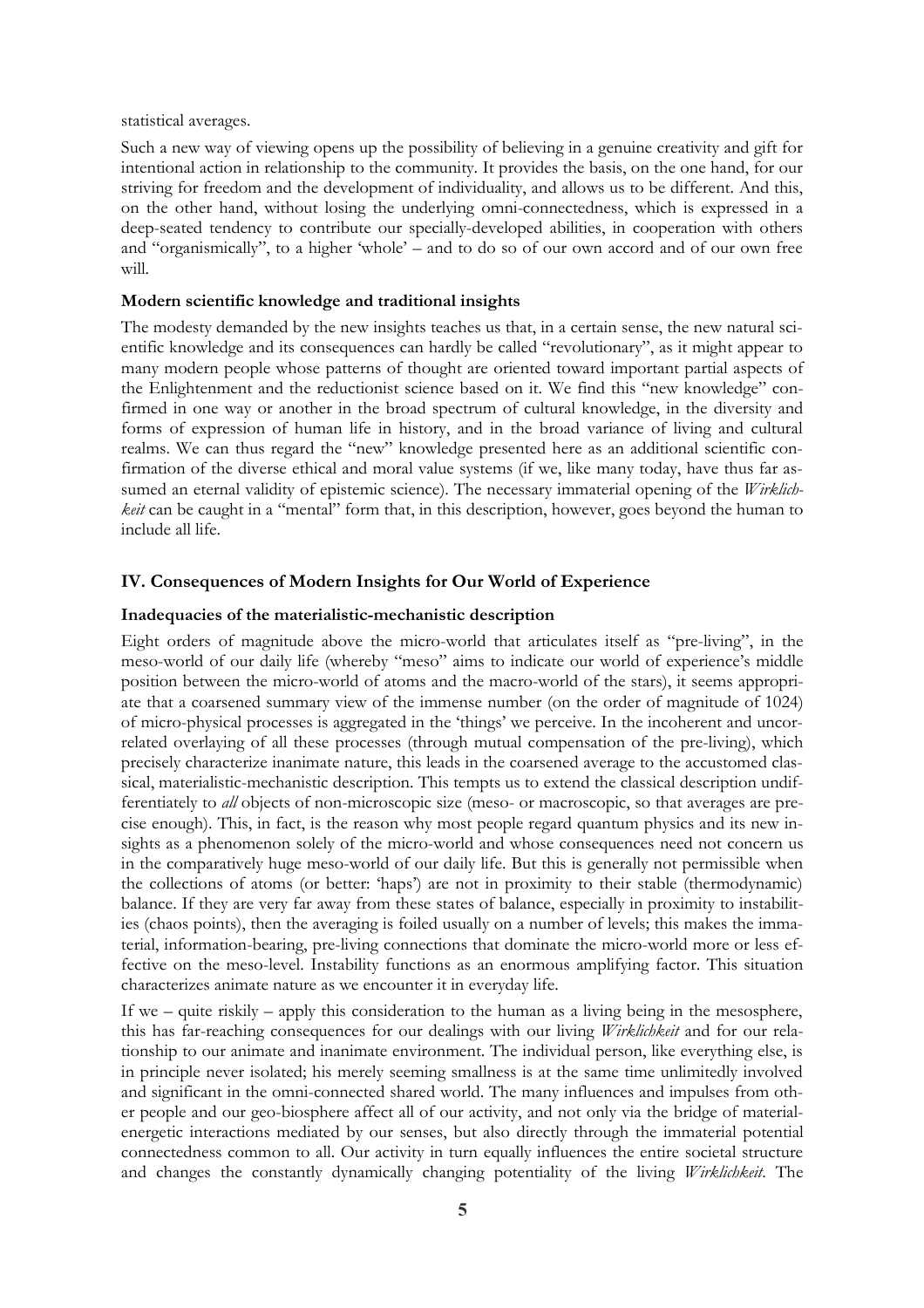statistical averages.

Such a new way of viewing opens up the possibility of believing in a genuine creativity and gift for intentional action in relationship to the community. It provides the basis, on the one hand, for our striving for freedom and the development of individuality, and allows us to be different. And this, on the other hand, without losing the underlying omni-connectedness, which is expressed in a deep-seated tendency to contribute our specially-developed abilities, in cooperation with others and "organismically", to a higher 'whole' – and to do so of our own accord and of our own free will.

#### **Modern scientific knowledge and traditional insights**

The modesty demanded by the new insights teaches us that, in a certain sense, the new natural scientific knowledge and its consequences can hardly be called "revolutionary", as it might appear to many modern people whose patterns of thought are oriented toward important partial aspects of the Enlightenment and the reductionist science based on it. We find this "new knowledge" confirmed in one way or another in the broad spectrum of cultural knowledge, in the diversity and forms of expression of human life in history, and in the broad variance of living and cultural realms. We can thus regard the "new" knowledge presented here as an additional scientific confirmation of the diverse ethical and moral value systems (if we, like many today, have thus far assumed an eternal validity of epistemic science). The necessary immaterial opening of the *Wirklichkeit* can be caught in a "mental" form that, in this description, however, goes beyond the human to include all life.

### **IV. Consequences of Modern Insights for Our World of Experience**

#### **Inadequacies of the materialistic-mechanistic description**

Eight orders of magnitude above the micro-world that articulates itself as "pre-living", in the meso-world of our daily life (whereby "meso" aims to indicate our world of experience's middle position between the micro-world of atoms and the macro-world of the stars), it seems appropriate that a coarsened summary view of the immense number (on the order of magnitude of 1024) of micro-physical processes is aggregated in the 'things' we perceive. In the incoherent and uncorrelated overlaying of all these processes (through mutual compensation of the pre-living), which precisely characterize inanimate nature, this leads in the coarsened average to the accustomed classical, materialistic-mechanistic description. This tempts us to extend the classical description undifferentiately to *all* objects of non-microscopic size (meso- or macroscopic, so that averages are precise enough). This, in fact, is the reason why most people regard quantum physics and its new insights as a phenomenon solely of the micro-world and whose consequences need not concern us in the comparatively huge meso-world of our daily life. But this is generally not permissible when the collections of atoms (or better: 'haps') are not in proximity to their stable (thermodynamic) balance. If they are very far away from these states of balance, especially in proximity to instabilities (chaos points), then the averaging is foiled usually on a number of levels; this makes the immaterial, information-bearing, pre-living connections that dominate the micro-world more or less effective on the meso-level. Instability functions as an enormous amplifying factor. This situation characterizes animate nature as we encounter it in everyday life.

If we – quite riskily – apply this consideration to the human as a living being in the mesosphere, this has far-reaching consequences for our dealings with our living *Wirklichkeit* and for our relationship to our animate and inanimate environment. The individual person, like everything else, is in principle never isolated; his merely seeming smallness is at the same time unlimitedly involved and significant in the omni-connected shared world. The many influences and impulses from other people and our geo-biosphere affect all of our activity, and not only via the bridge of materialenergetic interactions mediated by our senses, but also directly through the immaterial potential connectedness common to all. Our activity in turn equally influences the entire societal structure and changes the constantly dynamically changing potentiality of the living *Wirklichkeit*. The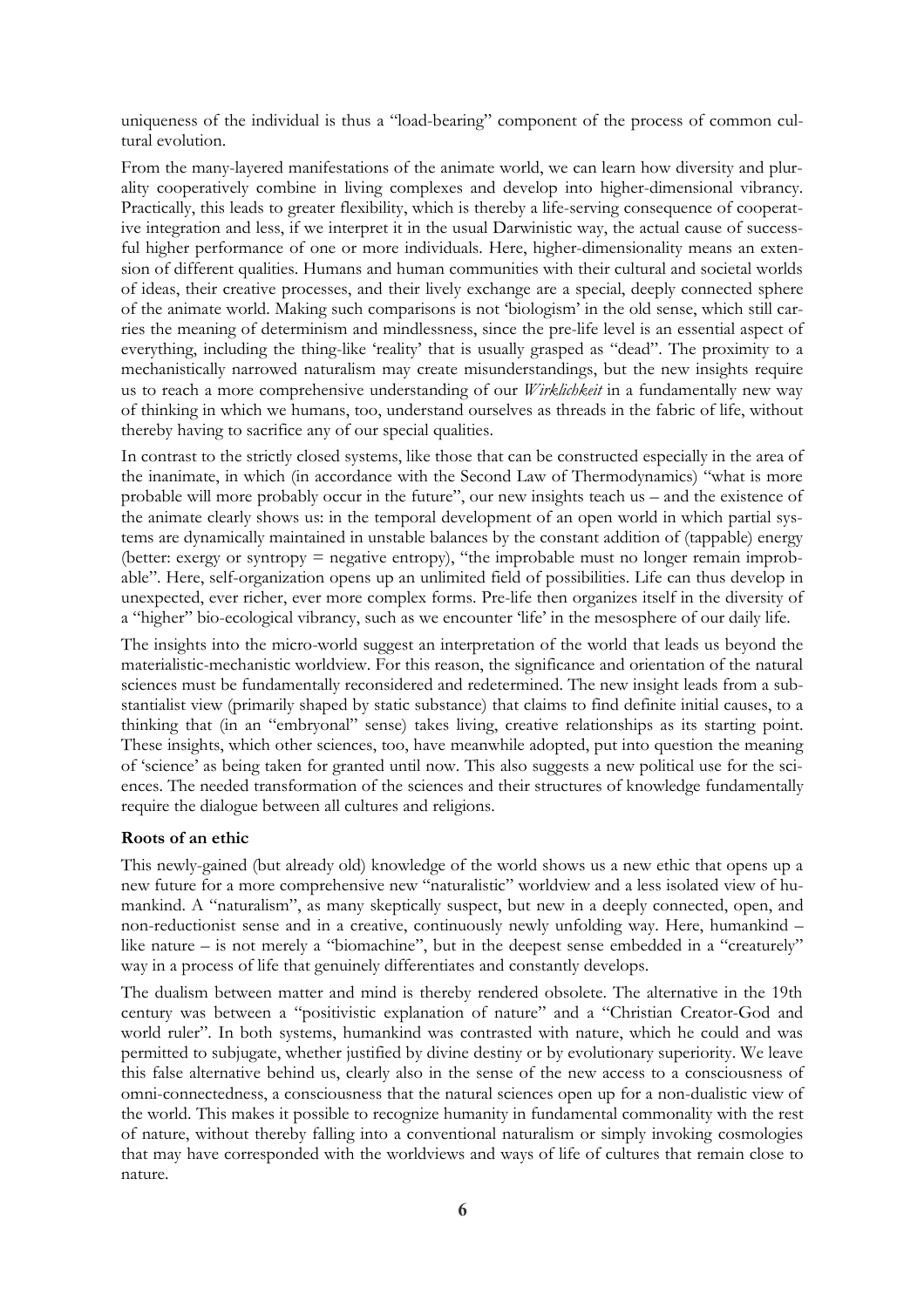uniqueness of the individual is thus a "load-bearing" component of the process of common cultural evolution.

From the many-layered manifestations of the animate world, we can learn how diversity and plurality cooperatively combine in living complexes and develop into higher-dimensional vibrancy. Practically, this leads to greater flexibility, which is thereby a life-serving consequence of cooperative integration and less, if we interpret it in the usual Darwinistic way, the actual cause of successful higher performance of one or more individuals. Here, higher-dimensionality means an extension of different qualities. Humans and human communities with their cultural and societal worlds of ideas, their creative processes, and their lively exchange are a special, deeply connected sphere of the animate world. Making such comparisons is not 'biologism' in the old sense, which still carries the meaning of determinism and mindlessness, since the pre-life level is an essential aspect of everything, including the thing-like 'reality' that is usually grasped as "dead". The proximity to a mechanistically narrowed naturalism may create misunderstandings, but the new insights require us to reach a more comprehensive understanding of our *Wirklichkeit* in a fundamentally new way of thinking in which we humans, too, understand ourselves as threads in the fabric of life, without thereby having to sacrifice any of our special qualities.

In contrast to the strictly closed systems, like those that can be constructed especially in the area of the inanimate, in which (in accordance with the Second Law of Thermodynamics) "what is more probable will more probably occur in the future", our new insights teach us – and the existence of the animate clearly shows us: in the temporal development of an open world in which partial systems are dynamically maintained in unstable balances by the constant addition of (tappable) energy (better: exergy or syntropy = negative entropy), "the improbable must no longer remain improbable". Here, self-organization opens up an unlimited field of possibilities. Life can thus develop in unexpected, ever richer, ever more complex forms. Pre-life then organizes itself in the diversity of a "higher" bio-ecological vibrancy, such as we encounter 'life' in the mesosphere of our daily life.

The insights into the micro-world suggest an interpretation of the world that leads us beyond the materialistic-mechanistic worldview. For this reason, the significance and orientation of the natural sciences must be fundamentally reconsidered and redetermined. The new insight leads from a substantialist view (primarily shaped by static substance) that claims to find definite initial causes, to a thinking that (in an "embryonal" sense) takes living, creative relationships as its starting point. These insights, which other sciences, too, have meanwhile adopted, put into question the meaning of 'science' as being taken for granted until now. This also suggests a new political use for the sciences. The needed transformation of the sciences and their structures of knowledge fundamentally require the dialogue between all cultures and religions.

# **Roots of an ethic**

This newly-gained (but already old) knowledge of the world shows us a new ethic that opens up a new future for a more comprehensive new "naturalistic" worldview and a less isolated view of humankind. A "naturalism", as many skeptically suspect, but new in a deeply connected, open, and non-reductionist sense and in a creative, continuously newly unfolding way. Here, humankind – like nature – is not merely a "biomachine", but in the deepest sense embedded in a "creaturely" way in a process of life that genuinely differentiates and constantly develops.

The dualism between matter and mind is thereby rendered obsolete. The alternative in the 19th century was between a "positivistic explanation of nature" and a "Christian Creator-God and world ruler". In both systems, humankind was contrasted with nature, which he could and was permitted to subjugate, whether justified by divine destiny or by evolutionary superiority. We leave this false alternative behind us, clearly also in the sense of the new access to a consciousness of omni-connectedness, a consciousness that the natural sciences open up for a non-dualistic view of the world. This makes it possible to recognize humanity in fundamental commonality with the rest of nature, without thereby falling into a conventional naturalism or simply invoking cosmologies that may have corresponded with the worldviews and ways of life of cultures that remain close to nature.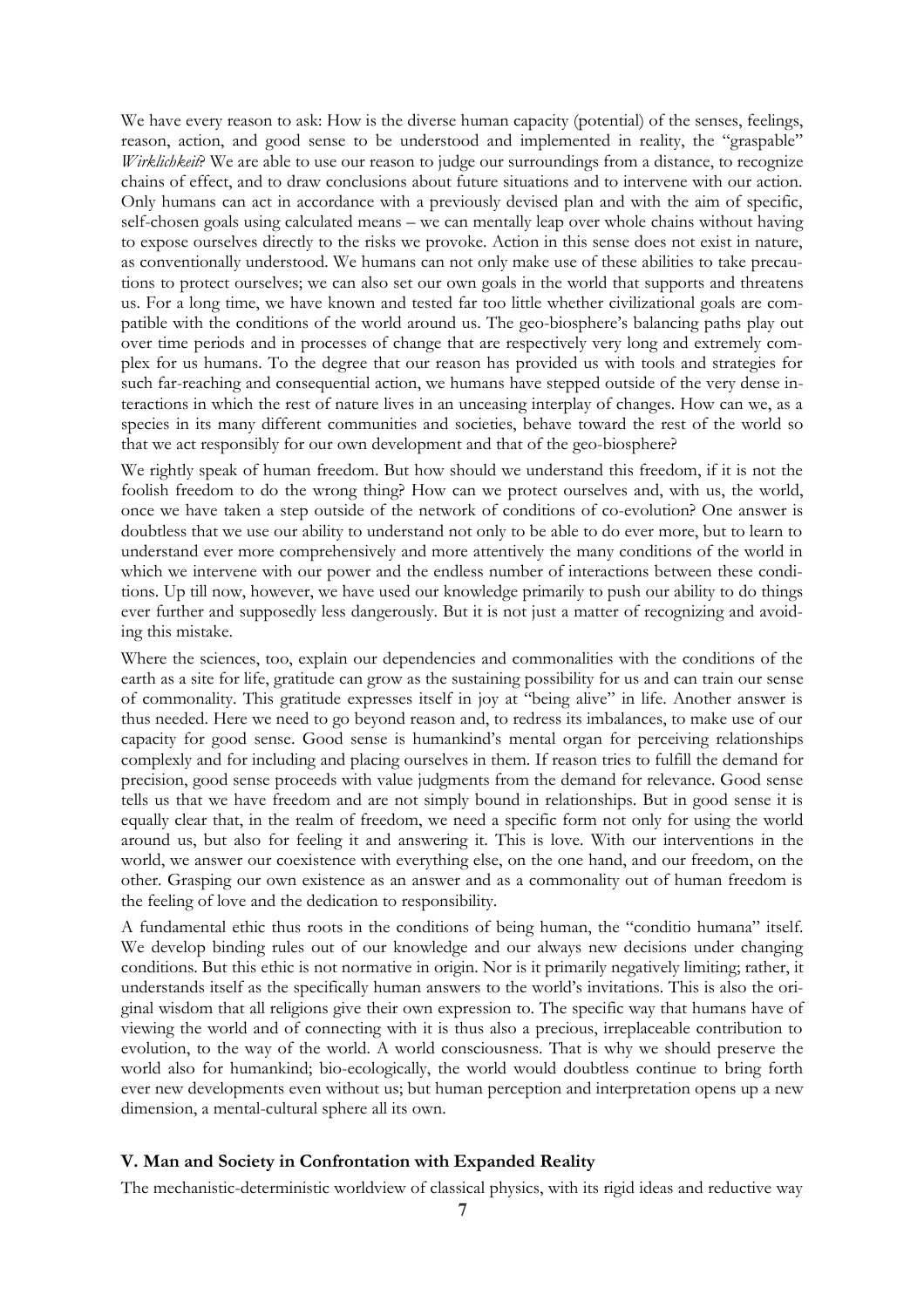We have every reason to ask: How is the diverse human capacity (potential) of the senses, feelings, reason, action, and good sense to be understood and implemented in reality, the "graspable" *Wirklichkeit?* We are able to use our reason to judge our surroundings from a distance, to recognize chains of effect, and to draw conclusions about future situations and to intervene with our action. Only humans can act in accordance with a previously devised plan and with the aim of specific, self-chosen goals using calculated means – we can mentally leap over whole chains without having to expose ourselves directly to the risks we provoke. Action in this sense does not exist in nature, as conventionally understood. We humans can not only make use of these abilities to take precautions to protect ourselves; we can also set our own goals in the world that supports and threatens us. For a long time, we have known and tested far too little whether civilizational goals are compatible with the conditions of the world around us. The geo-biosphere's balancing paths play out over time periods and in processes of change that are respectively very long and extremely complex for us humans. To the degree that our reason has provided us with tools and strategies for such far-reaching and consequential action, we humans have stepped outside of the very dense interactions in which the rest of nature lives in an unceasing interplay of changes. How can we, as a species in its many different communities and societies, behave toward the rest of the world so that we act responsibly for our own development and that of the geo-biosphere?

We rightly speak of human freedom. But how should we understand this freedom, if it is not the foolish freedom to do the wrong thing? How can we protect ourselves and, with us, the world, once we have taken a step outside of the network of conditions of co-evolution? One answer is doubtless that we use our ability to understand not only to be able to do ever more, but to learn to understand ever more comprehensively and more attentively the many conditions of the world in which we intervene with our power and the endless number of interactions between these conditions. Up till now, however, we have used our knowledge primarily to push our ability to do things ever further and supposedly less dangerously. But it is not just a matter of recognizing and avoiding this mistake.

Where the sciences, too, explain our dependencies and commonalities with the conditions of the earth as a site for life, gratitude can grow as the sustaining possibility for us and can train our sense of commonality. This gratitude expresses itself in joy at "being alive" in life. Another answer is thus needed. Here we need to go beyond reason and, to redress its imbalances, to make use of our capacity for good sense. Good sense is humankind's mental organ for perceiving relationships complexly and for including and placing ourselves in them. If reason tries to fulfill the demand for precision, good sense proceeds with value judgments from the demand for relevance. Good sense tells us that we have freedom and are not simply bound in relationships. But in good sense it is equally clear that, in the realm of freedom, we need a specific form not only for using the world around us, but also for feeling it and answering it. This is love. With our interventions in the world, we answer our coexistence with everything else, on the one hand, and our freedom, on the other. Grasping our own existence as an answer and as a commonality out of human freedom is the feeling of love and the dedication to responsibility.

A fundamental ethic thus roots in the conditions of being human, the "conditio humana" itself. We develop binding rules out of our knowledge and our always new decisions under changing conditions. But this ethic is not normative in origin. Nor is it primarily negatively limiting; rather, it understands itself as the specifically human answers to the world's invitations. This is also the original wisdom that all religions give their own expression to. The specific way that humans have of viewing the world and of connecting with it is thus also a precious, irreplaceable contribution to evolution, to the way of the world. A world consciousness. That is why we should preserve the world also for humankind; bio-ecologically, the world would doubtless continue to bring forth ever new developments even without us; but human perception and interpretation opens up a new dimension, a mental-cultural sphere all its own.

### **V. Man and Society in Confrontation with Expanded Reality**

The mechanistic-deterministic worldview of classical physics, with its rigid ideas and reductive way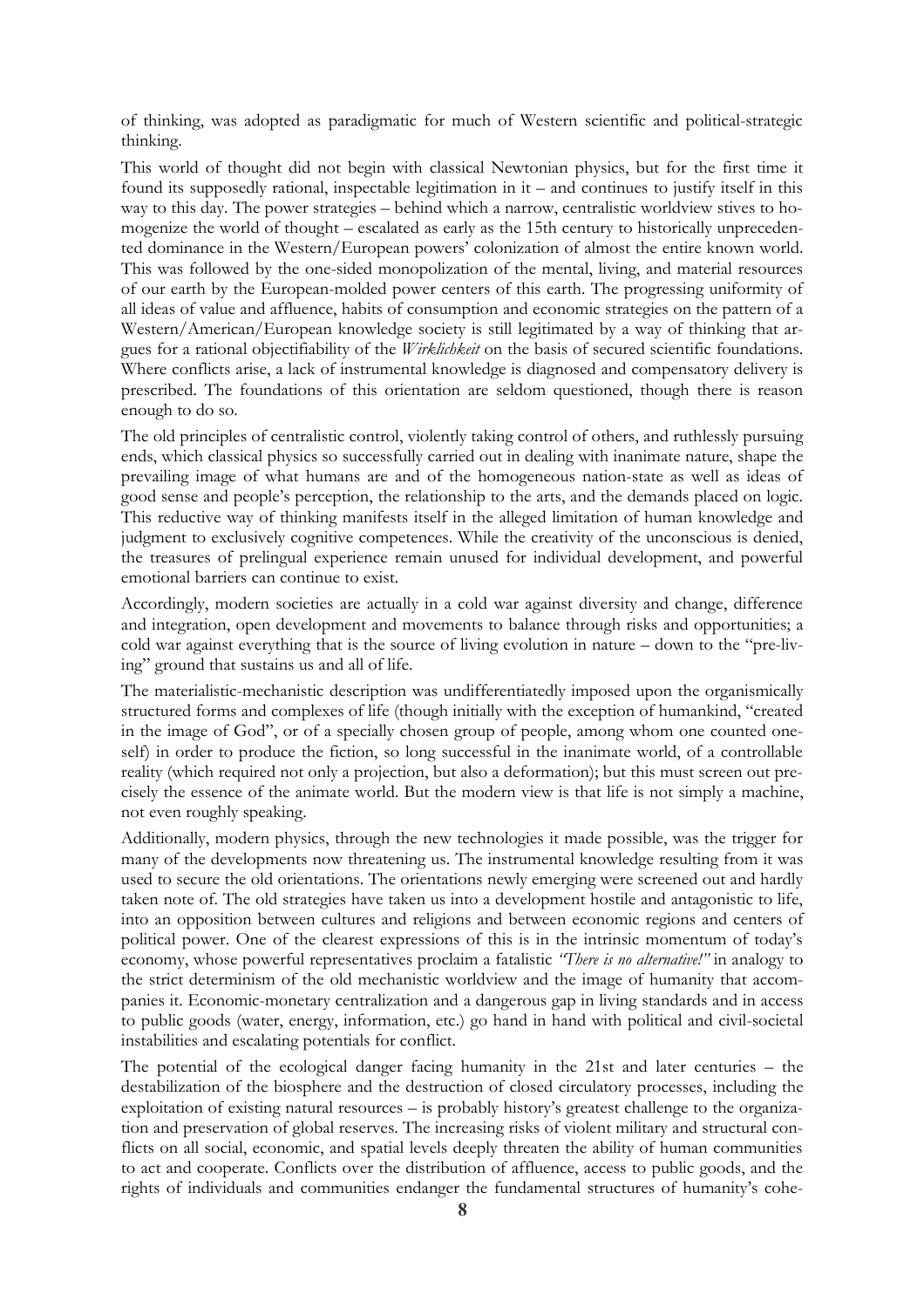of thinking, was adopted as paradigmatic for much of Western scientific and political-strategic thinking.

This world of thought did not begin with classical Newtonian physics, but for the first time it found its supposedly rational, inspectable legitimation in it – and continues to justify itself in this way to this day. The power strategies – behind which a narrow, centralistic worldview stives to homogenize the world of thought – escalated as early as the 15th century to historically unprecedented dominance in the Western/European powers' colonization of almost the entire known world. This was followed by the one-sided monopolization of the mental, living, and material resources of our earth by the European-molded power centers of this earth. The progressing uniformity of all ideas of value and affluence, habits of consumption and economic strategies on the pattern of a Western/American/European knowledge society is still legitimated by a way of thinking that argues for a rational objectifiability of the *Wirklichkeit* on the basis of secured scientific foundations. Where conflicts arise, a lack of instrumental knowledge is diagnosed and compensatory delivery is prescribed. The foundations of this orientation are seldom questioned, though there is reason enough to do so.

The old principles of centralistic control, violently taking control of others, and ruthlessly pursuing ends, which classical physics so successfully carried out in dealing with inanimate nature, shape the prevailing image of what humans are and of the homogeneous nation-state as well as ideas of good sense and people's perception, the relationship to the arts, and the demands placed on logic. This reductive way of thinking manifests itself in the alleged limitation of human knowledge and judgment to exclusively cognitive competences. While the creativity of the unconscious is denied, the treasures of prelingual experience remain unused for individual development, and powerful emotional barriers can continue to exist.

Accordingly, modern societies are actually in a cold war against diversity and change, difference and integration, open development and movements to balance through risks and opportunities; a cold war against everything that is the source of living evolution in nature – down to the "pre-living" ground that sustains us and all of life.

The materialistic-mechanistic description was undifferentiatedly imposed upon the organismically structured forms and complexes of life (though initially with the exception of humankind, "created in the image of God", or of a specially chosen group of people, among whom one counted oneself) in order to produce the fiction, so long successful in the inanimate world, of a controllable reality (which required not only a projection, but also a deformation); but this must screen out precisely the essence of the animate world. But the modern view is that life is not simply a machine, not even roughly speaking.

Additionally, modern physics, through the new technologies it made possible, was the trigger for many of the developments now threatening us. The instrumental knowledge resulting from it was used to secure the old orientations. The orientations newly emerging were screened out and hardly taken note of. The old strategies have taken us into a development hostile and antagonistic to life, into an opposition between cultures and religions and between economic regions and centers of political power. One of the clearest expressions of this is in the intrinsic momentum of today's economy, whose powerful representatives proclaim a fatalistic *"There is no alternative!"* in analogy to the strict determinism of the old mechanistic worldview and the image of humanity that accompanies it. Economic-monetary centralization and a dangerous gap in living standards and in access to public goods (water, energy, information, etc.) go hand in hand with political and civil-societal instabilities and escalating potentials for conflict.

The potential of the ecological danger facing humanity in the 21st and later centuries – the destabilization of the biosphere and the destruction of closed circulatory processes, including the exploitation of existing natural resources – is probably history's greatest challenge to the organization and preservation of global reserves. The increasing risks of violent military and structural conflicts on all social, economic, and spatial levels deeply threaten the ability of human communities to act and cooperate. Conflicts over the distribution of affluence, access to public goods, and the rights of individuals and communities endanger the fundamental structures of humanity's cohe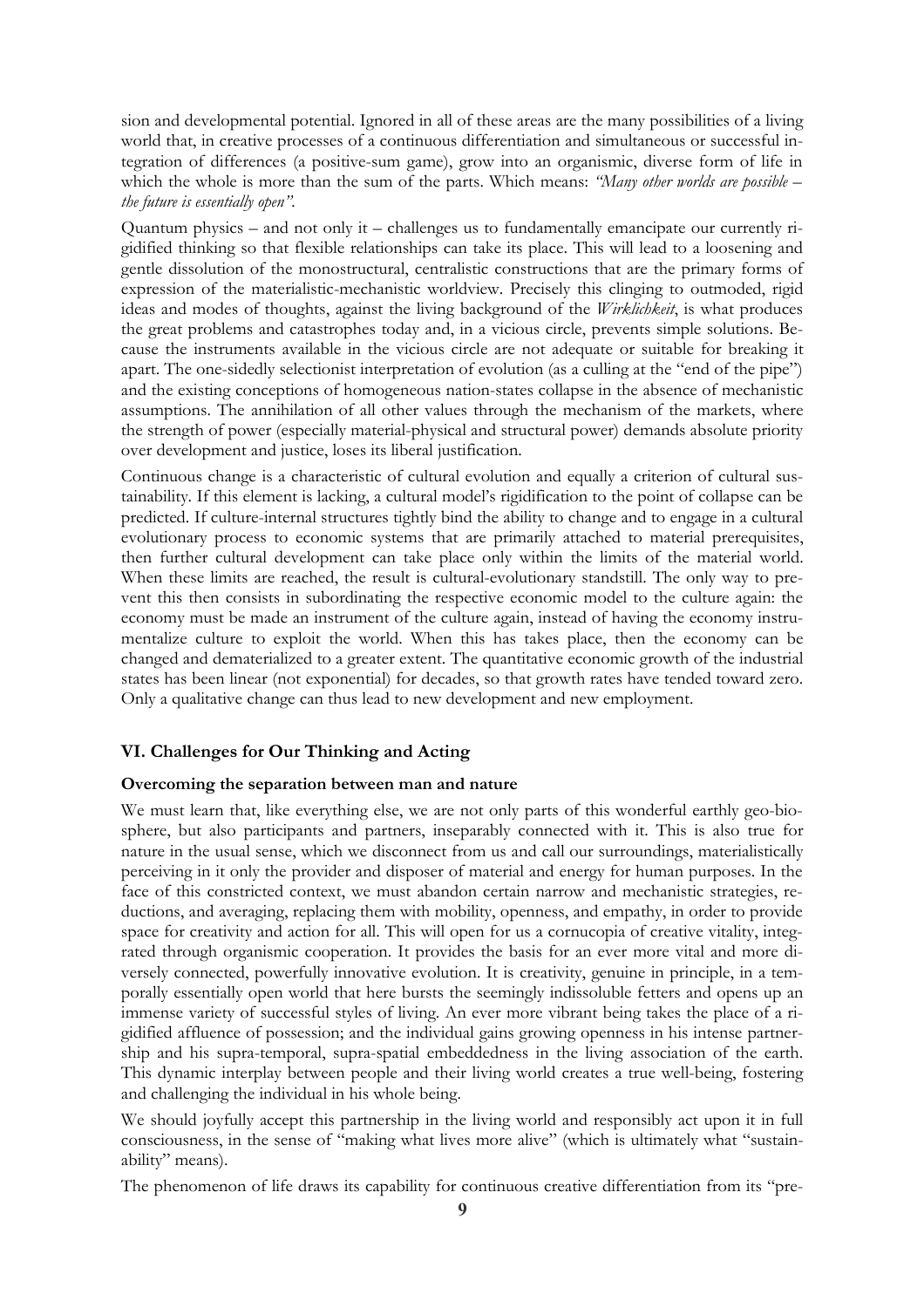sion and developmental potential. Ignored in all of these areas are the many possibilities of a living world that, in creative processes of a continuous differentiation and simultaneous or successful integration of differences (a positive-sum game), grow into an organismic, diverse form of life in which the whole is more than the sum of the parts. Which means: *"Many other worlds are possible – the future is essentially open".*

Quantum physics – and not only it – challenges us to fundamentally emancipate our currently rigidified thinking so that flexible relationships can take its place. This will lead to a loosening and gentle dissolution of the monostructural, centralistic constructions that are the primary forms of expression of the materialistic-mechanistic worldview. Precisely this clinging to outmoded, rigid ideas and modes of thoughts, against the living background of the *Wirklichkeit*, is what produces the great problems and catastrophes today and, in a vicious circle, prevents simple solutions. Because the instruments available in the vicious circle are not adequate or suitable for breaking it apart. The one-sidedly selectionist interpretation of evolution (as a culling at the "end of the pipe") and the existing conceptions of homogeneous nation-states collapse in the absence of mechanistic assumptions. The annihilation of all other values through the mechanism of the markets, where the strength of power (especially material-physical and structural power) demands absolute priority over development and justice, loses its liberal justification.

Continuous change is a characteristic of cultural evolution and equally a criterion of cultural sustainability. If this element is lacking, a cultural model's rigidification to the point of collapse can be predicted. If culture-internal structures tightly bind the ability to change and to engage in a cultural evolutionary process to economic systems that are primarily attached to material prerequisites, then further cultural development can take place only within the limits of the material world. When these limits are reached, the result is cultural-evolutionary standstill. The only way to prevent this then consists in subordinating the respective economic model to the culture again: the economy must be made an instrument of the culture again, instead of having the economy instrumentalize culture to exploit the world. When this has takes place, then the economy can be changed and dematerialized to a greater extent. The quantitative economic growth of the industrial states has been linear (not exponential) for decades, so that growth rates have tended toward zero. Only a qualitative change can thus lead to new development and new employment.

# **VI. Challenges for Our Thinking and Acting**

# **Overcoming the separation between man and nature**

We must learn that, like everything else, we are not only parts of this wonderful earthly geo-biosphere, but also participants and partners, inseparably connected with it. This is also true for nature in the usual sense, which we disconnect from us and call our surroundings, materialistically perceiving in it only the provider and disposer of material and energy for human purposes. In the face of this constricted context, we must abandon certain narrow and mechanistic strategies, reductions, and averaging, replacing them with mobility, openness, and empathy, in order to provide space for creativity and action for all. This will open for us a cornucopia of creative vitality, integrated through organismic cooperation. It provides the basis for an ever more vital and more diversely connected, powerfully innovative evolution. It is creativity, genuine in principle, in a temporally essentially open world that here bursts the seemingly indissoluble fetters and opens up an immense variety of successful styles of living. An ever more vibrant being takes the place of a rigidified affluence of possession; and the individual gains growing openness in his intense partnership and his supra-temporal, supra-spatial embeddedness in the living association of the earth. This dynamic interplay between people and their living world creates a true well-being, fostering and challenging the individual in his whole being.

We should joyfully accept this partnership in the living world and responsibly act upon it in full consciousness, in the sense of "making what lives more alive" (which is ultimately what "sustainability" means).

The phenomenon of life draws its capability for continuous creative differentiation from its "pre-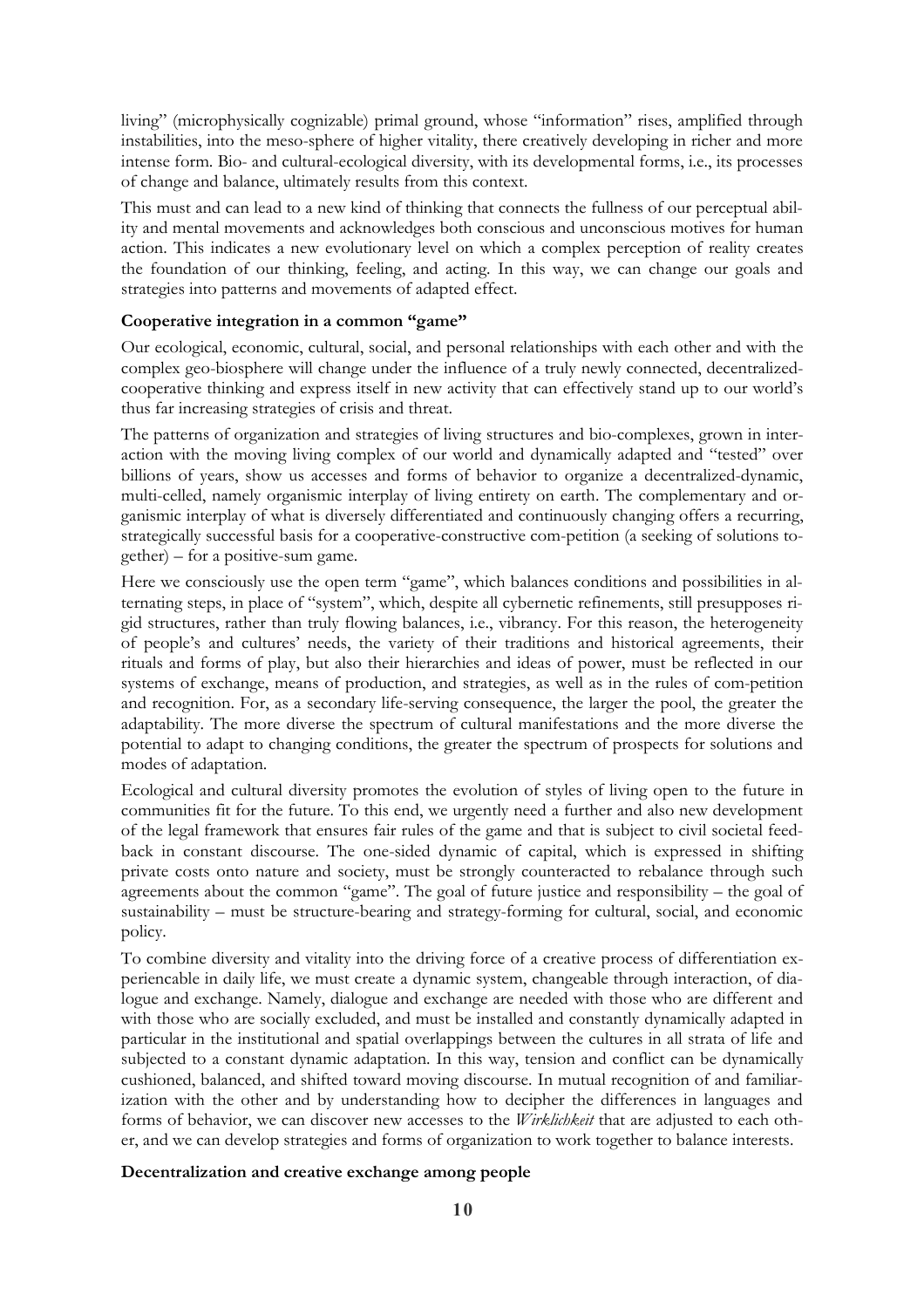living" (microphysically cognizable) primal ground, whose "information" rises, amplified through instabilities, into the meso-sphere of higher vitality, there creatively developing in richer and more intense form. Bio- and cultural-ecological diversity, with its developmental forms, i.e., its processes of change and balance, ultimately results from this context.

This must and can lead to a new kind of thinking that connects the fullness of our perceptual ability and mental movements and acknowledges both conscious and unconscious motives for human action. This indicates a new evolutionary level on which a complex perception of reality creates the foundation of our thinking, feeling, and acting. In this way, we can change our goals and strategies into patterns and movements of adapted effect.

### **Cooperative integration in a common "game"**

Our ecological, economic, cultural, social, and personal relationships with each other and with the complex geo-biosphere will change under the influence of a truly newly connected, decentralizedcooperative thinking and express itself in new activity that can effectively stand up to our world's thus far increasing strategies of crisis and threat.

The patterns of organization and strategies of living structures and bio-complexes, grown in interaction with the moving living complex of our world and dynamically adapted and "tested" over billions of years, show us accesses and forms of behavior to organize a decentralized-dynamic, multi-celled, namely organismic interplay of living entirety on earth. The complementary and organismic interplay of what is diversely differentiated and continuously changing offers a recurring, strategically successful basis for a cooperative-constructive com-petition (a seeking of solutions together) – for a positive-sum game.

Here we consciously use the open term "game", which balances conditions and possibilities in alternating steps, in place of "system", which, despite all cybernetic refinements, still presupposes rigid structures, rather than truly flowing balances, i.e., vibrancy. For this reason, the heterogeneity of people's and cultures' needs, the variety of their traditions and historical agreements, their rituals and forms of play, but also their hierarchies and ideas of power, must be reflected in our systems of exchange, means of production, and strategies, as well as in the rules of com-petition and recognition. For, as a secondary life-serving consequence, the larger the pool, the greater the adaptability. The more diverse the spectrum of cultural manifestations and the more diverse the potential to adapt to changing conditions, the greater the spectrum of prospects for solutions and modes of adaptation.

Ecological and cultural diversity promotes the evolution of styles of living open to the future in communities fit for the future. To this end, we urgently need a further and also new development of the legal framework that ensures fair rules of the game and that is subject to civil societal feedback in constant discourse. The one-sided dynamic of capital, which is expressed in shifting private costs onto nature and society, must be strongly counteracted to rebalance through such agreements about the common "game". The goal of future justice and responsibility – the goal of sustainability – must be structure-bearing and strategy-forming for cultural, social, and economic policy.

To combine diversity and vitality into the driving force of a creative process of differentiation experiencable in daily life, we must create a dynamic system, changeable through interaction, of dialogue and exchange. Namely, dialogue and exchange are needed with those who are different and with those who are socially excluded, and must be installed and constantly dynamically adapted in particular in the institutional and spatial overlappings between the cultures in all strata of life and subjected to a constant dynamic adaptation. In this way, tension and conflict can be dynamically cushioned, balanced, and shifted toward moving discourse. In mutual recognition of and familiarization with the other and by understanding how to decipher the differences in languages and forms of behavior, we can discover new accesses to the *Wirklichkeit* that are adjusted to each other, and we can develop strategies and forms of organization to work together to balance interests.

# **Decentralization and creative exchange among people**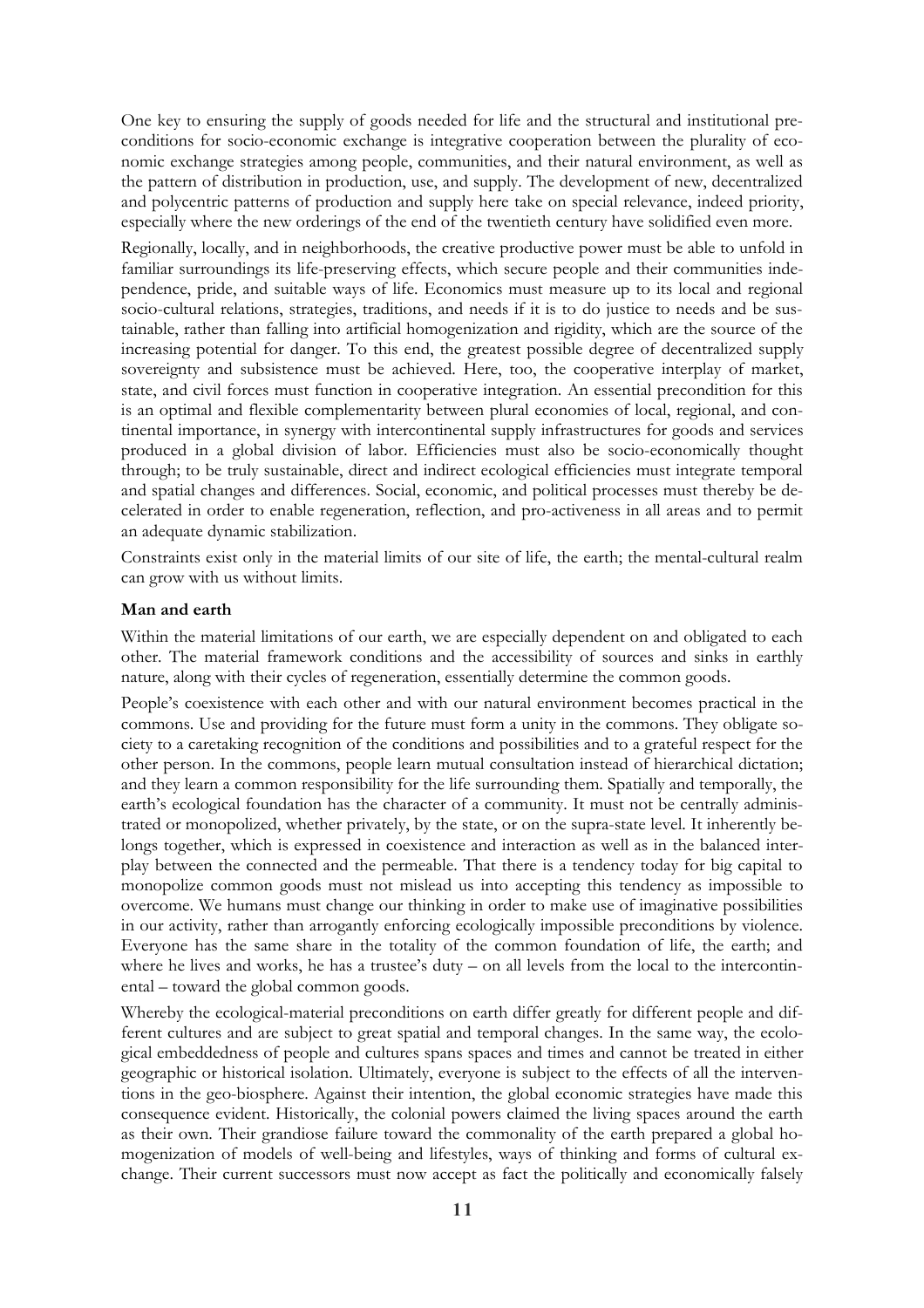One key to ensuring the supply of goods needed for life and the structural and institutional preconditions for socio-economic exchange is integrative cooperation between the plurality of economic exchange strategies among people, communities, and their natural environment, as well as the pattern of distribution in production, use, and supply. The development of new, decentralized and polycentric patterns of production and supply here take on special relevance, indeed priority, especially where the new orderings of the end of the twentieth century have solidified even more.

Regionally, locally, and in neighborhoods, the creative productive power must be able to unfold in familiar surroundings its life-preserving effects, which secure people and their communities independence, pride, and suitable ways of life. Economics must measure up to its local and regional socio-cultural relations, strategies, traditions, and needs if it is to do justice to needs and be sustainable, rather than falling into artificial homogenization and rigidity, which are the source of the increasing potential for danger. To this end, the greatest possible degree of decentralized supply sovereignty and subsistence must be achieved. Here, too, the cooperative interplay of market, state, and civil forces must function in cooperative integration. An essential precondition for this is an optimal and flexible complementarity between plural economies of local, regional, and continental importance, in synergy with intercontinental supply infrastructures for goods and services produced in a global division of labor. Efficiencies must also be socio-economically thought through; to be truly sustainable, direct and indirect ecological efficiencies must integrate temporal and spatial changes and differences. Social, economic, and political processes must thereby be decelerated in order to enable regeneration, reflection, and pro-activeness in all areas and to permit an adequate dynamic stabilization.

Constraints exist only in the material limits of our site of life, the earth; the mental-cultural realm can grow with us without limits.

### **Man and earth**

Within the material limitations of our earth, we are especially dependent on and obligated to each other. The material framework conditions and the accessibility of sources and sinks in earthly nature, along with their cycles of regeneration, essentially determine the common goods.

People's coexistence with each other and with our natural environment becomes practical in the commons. Use and providing for the future must form a unity in the commons. They obligate society to a caretaking recognition of the conditions and possibilities and to a grateful respect for the other person. In the commons, people learn mutual consultation instead of hierarchical dictation; and they learn a common responsibility for the life surrounding them. Spatially and temporally, the earth's ecological foundation has the character of a community. It must not be centrally administrated or monopolized, whether privately, by the state, or on the supra-state level. It inherently belongs together, which is expressed in coexistence and interaction as well as in the balanced interplay between the connected and the permeable. That there is a tendency today for big capital to monopolize common goods must not mislead us into accepting this tendency as impossible to overcome. We humans must change our thinking in order to make use of imaginative possibilities in our activity, rather than arrogantly enforcing ecologically impossible preconditions by violence. Everyone has the same share in the totality of the common foundation of life, the earth; and where he lives and works, he has a trustee's duty – on all levels from the local to the intercontinental – toward the global common goods.

Whereby the ecological-material preconditions on earth differ greatly for different people and different cultures and are subject to great spatial and temporal changes. In the same way, the ecological embeddedness of people and cultures spans spaces and times and cannot be treated in either geographic or historical isolation. Ultimately, everyone is subject to the effects of all the interventions in the geo-biosphere. Against their intention, the global economic strategies have made this consequence evident. Historically, the colonial powers claimed the living spaces around the earth as their own. Their grandiose failure toward the commonality of the earth prepared a global homogenization of models of well-being and lifestyles, ways of thinking and forms of cultural exchange. Their current successors must now accept as fact the politically and economically falsely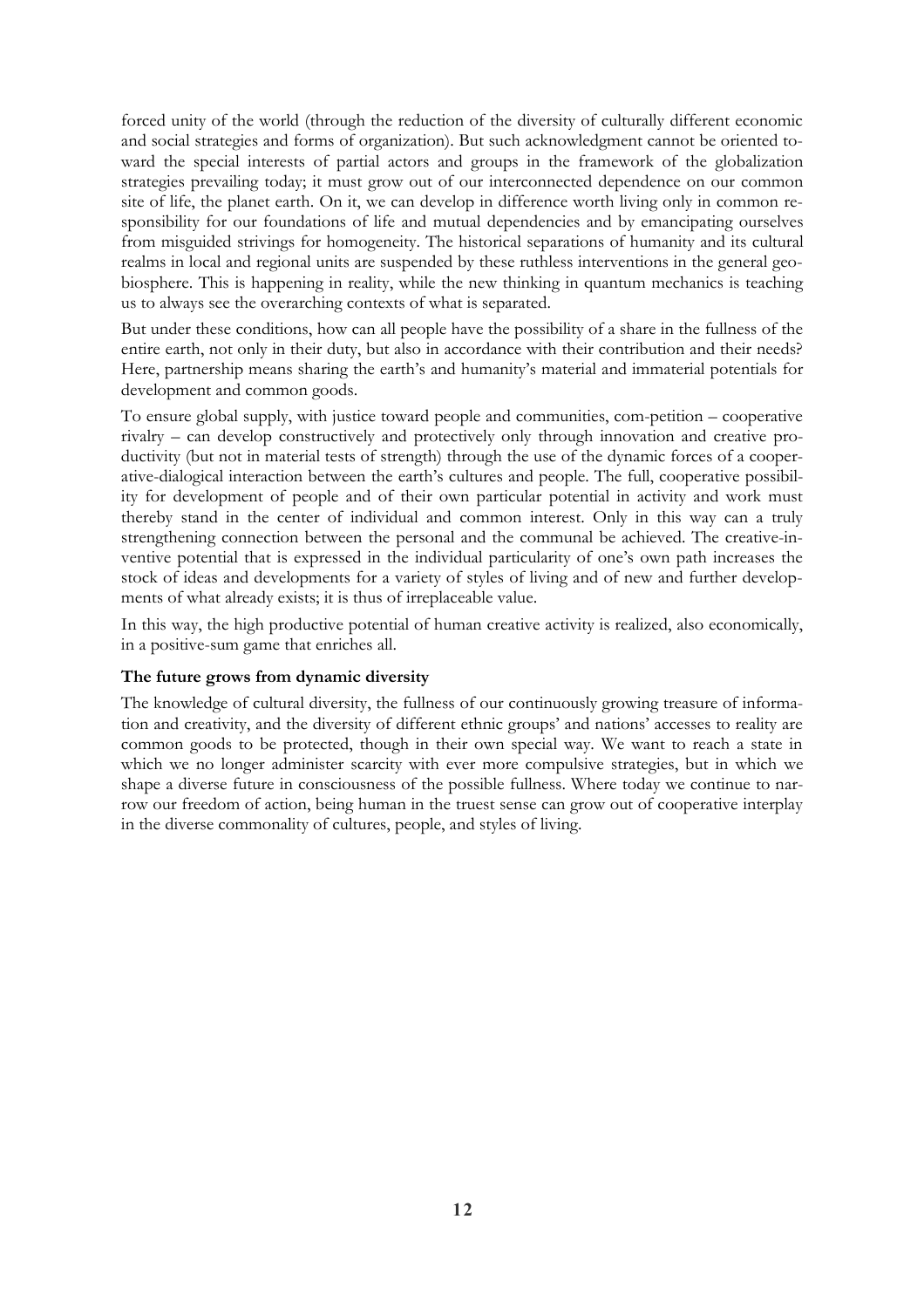forced unity of the world (through the reduction of the diversity of culturally different economic and social strategies and forms of organization). But such acknowledgment cannot be oriented toward the special interests of partial actors and groups in the framework of the globalization strategies prevailing today; it must grow out of our interconnected dependence on our common site of life, the planet earth. On it, we can develop in difference worth living only in common responsibility for our foundations of life and mutual dependencies and by emancipating ourselves from misguided strivings for homogeneity. The historical separations of humanity and its cultural realms in local and regional units are suspended by these ruthless interventions in the general geobiosphere. This is happening in reality, while the new thinking in quantum mechanics is teaching us to always see the overarching contexts of what is separated.

But under these conditions, how can all people have the possibility of a share in the fullness of the entire earth, not only in their duty, but also in accordance with their contribution and their needs? Here, partnership means sharing the earth's and humanity's material and immaterial potentials for development and common goods.

To ensure global supply, with justice toward people and communities, com-petition – cooperative rivalry – can develop constructively and protectively only through innovation and creative productivity (but not in material tests of strength) through the use of the dynamic forces of a cooperative-dialogical interaction between the earth's cultures and people. The full, cooperative possibility for development of people and of their own particular potential in activity and work must thereby stand in the center of individual and common interest. Only in this way can a truly strengthening connection between the personal and the communal be achieved. The creative-inventive potential that is expressed in the individual particularity of one's own path increases the stock of ideas and developments for a variety of styles of living and of new and further developments of what already exists; it is thus of irreplaceable value.

In this way, the high productive potential of human creative activity is realized, also economically, in a positive-sum game that enriches all.

# **The future grows from dynamic diversity**

The knowledge of cultural diversity, the fullness of our continuously growing treasure of information and creativity, and the diversity of different ethnic groups' and nations' accesses to reality are common goods to be protected, though in their own special way. We want to reach a state in which we no longer administer scarcity with ever more compulsive strategies, but in which we shape a diverse future in consciousness of the possible fullness. Where today we continue to narrow our freedom of action, being human in the truest sense can grow out of cooperative interplay in the diverse commonality of cultures, people, and styles of living.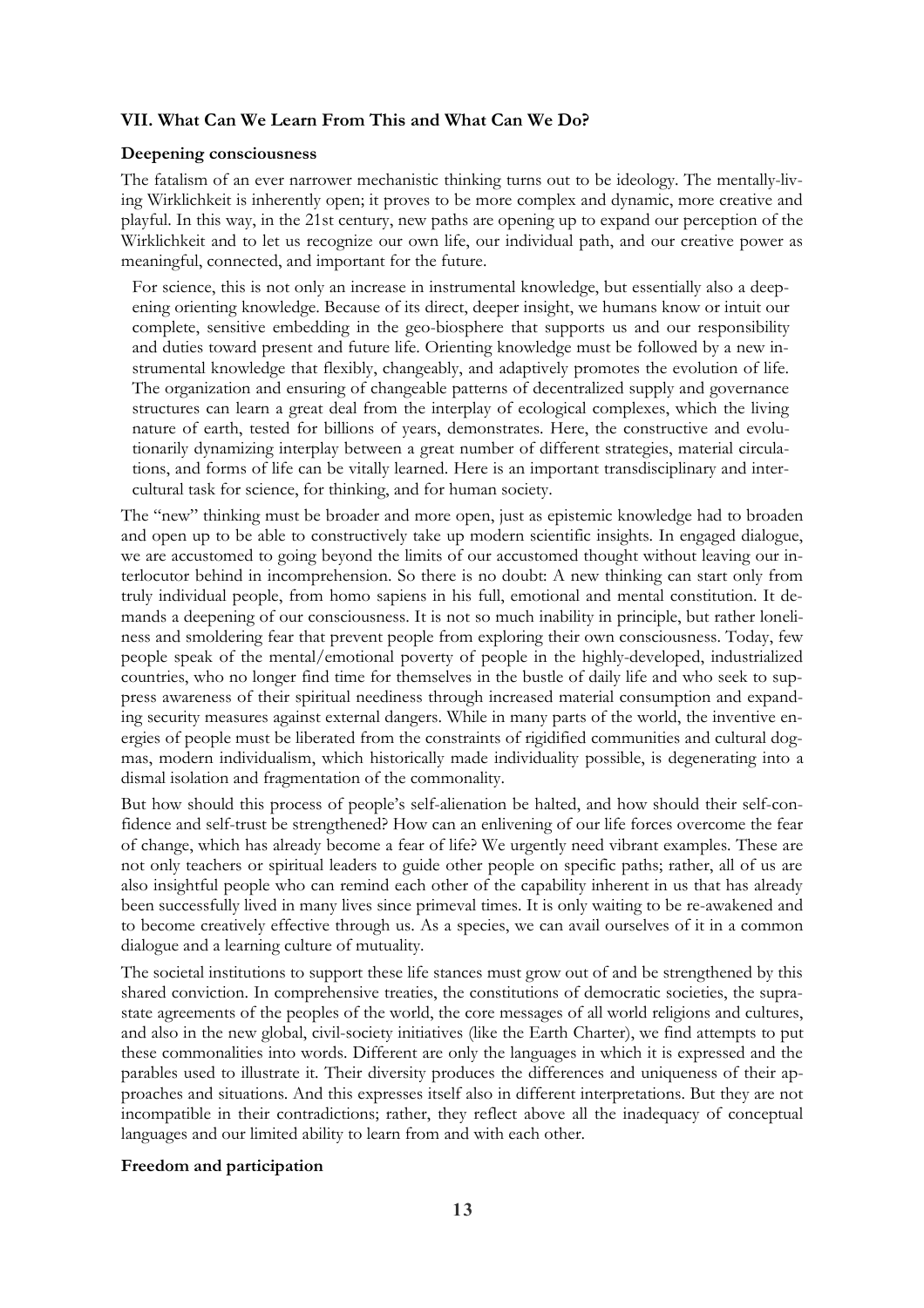# **VII. What Can We Learn From This and What Can We Do?**

#### **Deepening consciousness**

The fatalism of an ever narrower mechanistic thinking turns out to be ideology. The mentally-living Wirklichkeit is inherently open; it proves to be more complex and dynamic, more creative and playful. In this way, in the 21st century, new paths are opening up to expand our perception of the Wirklichkeit and to let us recognize our own life, our individual path, and our creative power as meaningful, connected, and important for the future.

For science, this is not only an increase in instrumental knowledge, but essentially also a deepening orienting knowledge. Because of its direct, deeper insight, we humans know or intuit our complete, sensitive embedding in the geo-biosphere that supports us and our responsibility and duties toward present and future life. Orienting knowledge must be followed by a new instrumental knowledge that flexibly, changeably, and adaptively promotes the evolution of life. The organization and ensuring of changeable patterns of decentralized supply and governance structures can learn a great deal from the interplay of ecological complexes, which the living nature of earth, tested for billions of years, demonstrates. Here, the constructive and evolutionarily dynamizing interplay between a great number of different strategies, material circulations, and forms of life can be vitally learned. Here is an important transdisciplinary and intercultural task for science, for thinking, and for human society.

The "new" thinking must be broader and more open, just as epistemic knowledge had to broaden and open up to be able to constructively take up modern scientific insights. In engaged dialogue, we are accustomed to going beyond the limits of our accustomed thought without leaving our interlocutor behind in incomprehension. So there is no doubt: A new thinking can start only from truly individual people, from homo sapiens in his full, emotional and mental constitution. It demands a deepening of our consciousness. It is not so much inability in principle, but rather loneliness and smoldering fear that prevent people from exploring their own consciousness. Today, few people speak of the mental/emotional poverty of people in the highly-developed, industrialized countries, who no longer find time for themselves in the bustle of daily life and who seek to suppress awareness of their spiritual neediness through increased material consumption and expanding security measures against external dangers. While in many parts of the world, the inventive energies of people must be liberated from the constraints of rigidified communities and cultural dogmas, modern individualism, which historically made individuality possible, is degenerating into a dismal isolation and fragmentation of the commonality.

But how should this process of people's self-alienation be halted, and how should their self-confidence and self-trust be strengthened? How can an enlivening of our life forces overcome the fear of change, which has already become a fear of life? We urgently need vibrant examples. These are not only teachers or spiritual leaders to guide other people on specific paths; rather, all of us are also insightful people who can remind each other of the capability inherent in us that has already been successfully lived in many lives since primeval times. It is only waiting to be re-awakened and to become creatively effective through us. As a species, we can avail ourselves of it in a common dialogue and a learning culture of mutuality.

The societal institutions to support these life stances must grow out of and be strengthened by this shared conviction. In comprehensive treaties, the constitutions of democratic societies, the suprastate agreements of the peoples of the world, the core messages of all world religions and cultures, and also in the new global, civil-society initiatives (like the Earth Charter), we find attempts to put these commonalities into words. Different are only the languages in which it is expressed and the parables used to illustrate it. Their diversity produces the differences and uniqueness of their approaches and situations. And this expresses itself also in different interpretations. But they are not incompatible in their contradictions; rather, they reflect above all the inadequacy of conceptual languages and our limited ability to learn from and with each other.

### **Freedom and participation**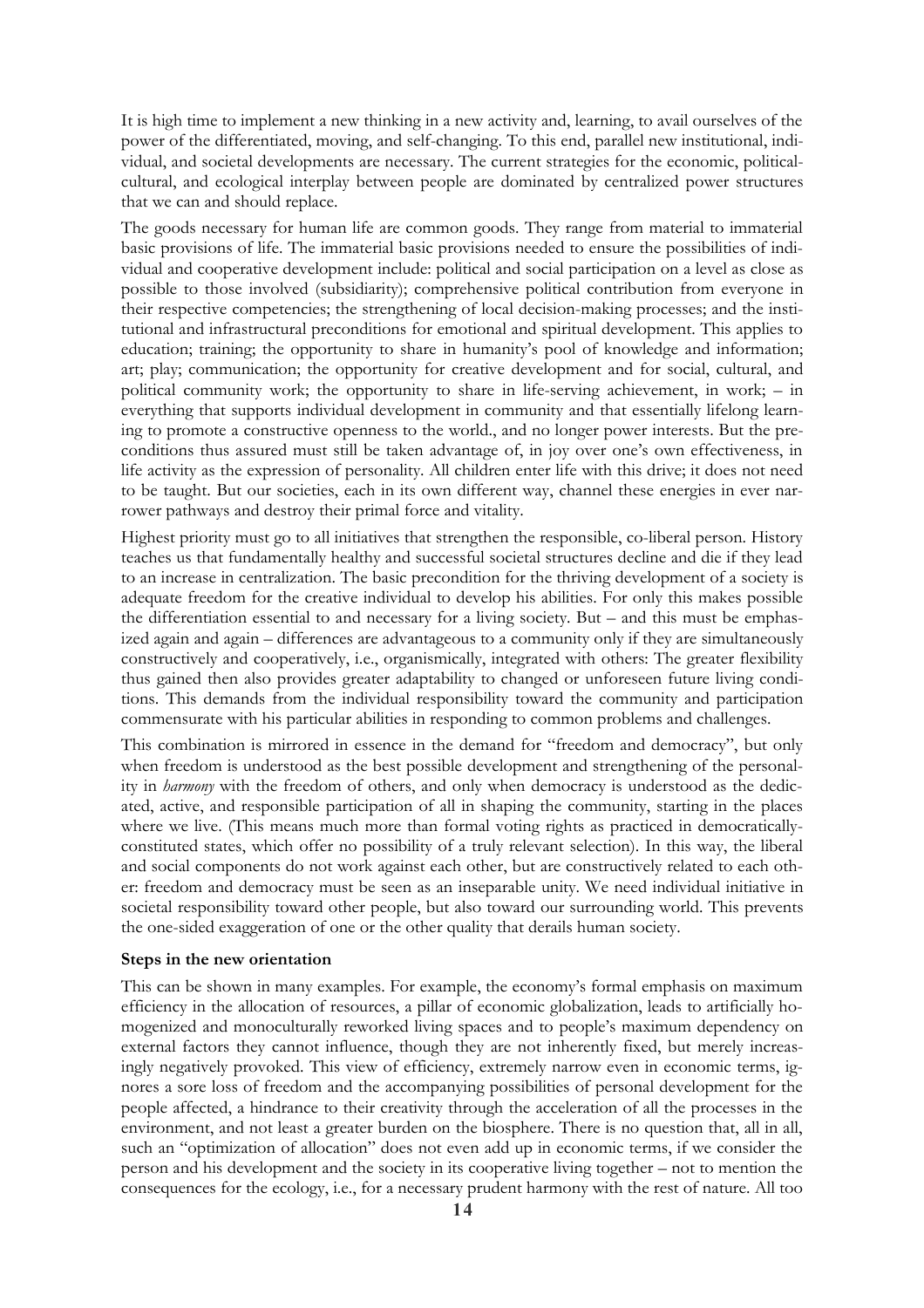It is high time to implement a new thinking in a new activity and, learning, to avail ourselves of the power of the differentiated, moving, and self-changing. To this end, parallel new institutional, individual, and societal developments are necessary. The current strategies for the economic, politicalcultural, and ecological interplay between people are dominated by centralized power structures that we can and should replace.

The goods necessary for human life are common goods. They range from material to immaterial basic provisions of life. The immaterial basic provisions needed to ensure the possibilities of individual and cooperative development include: political and social participation on a level as close as possible to those involved (subsidiarity); comprehensive political contribution from everyone in their respective competencies; the strengthening of local decision-making processes; and the institutional and infrastructural preconditions for emotional and spiritual development. This applies to education; training; the opportunity to share in humanity's pool of knowledge and information; art; play; communication; the opportunity for creative development and for social, cultural, and political community work; the opportunity to share in life-serving achievement, in work; – in everything that supports individual development in community and that essentially lifelong learning to promote a constructive openness to the world., and no longer power interests. But the preconditions thus assured must still be taken advantage of, in joy over one's own effectiveness, in life activity as the expression of personality. All children enter life with this drive; it does not need to be taught. But our societies, each in its own different way, channel these energies in ever narrower pathways and destroy their primal force and vitality.

Highest priority must go to all initiatives that strengthen the responsible, co-liberal person. History teaches us that fundamentally healthy and successful societal structures decline and die if they lead to an increase in centralization. The basic precondition for the thriving development of a society is adequate freedom for the creative individual to develop his abilities. For only this makes possible the differentiation essential to and necessary for a living society. But – and this must be emphasized again and again – differences are advantageous to a community only if they are simultaneously constructively and cooperatively, i.e., organismically, integrated with others: The greater flexibility thus gained then also provides greater adaptability to changed or unforeseen future living conditions. This demands from the individual responsibility toward the community and participation commensurate with his particular abilities in responding to common problems and challenges.

This combination is mirrored in essence in the demand for "freedom and democracy", but only when freedom is understood as the best possible development and strengthening of the personality in *harmony* with the freedom of others, and only when democracy is understood as the dedicated, active, and responsible participation of all in shaping the community, starting in the places where we live. (This means much more than formal voting rights as practiced in democraticallyconstituted states, which offer no possibility of a truly relevant selection). In this way, the liberal and social components do not work against each other, but are constructively related to each other: freedom and democracy must be seen as an inseparable unity. We need individual initiative in societal responsibility toward other people, but also toward our surrounding world. This prevents the one-sided exaggeration of one or the other quality that derails human society.

### **Steps in the new orientation**

This can be shown in many examples. For example, the economy's formal emphasis on maximum efficiency in the allocation of resources, a pillar of economic globalization, leads to artificially homogenized and monoculturally reworked living spaces and to people's maximum dependency on external factors they cannot influence, though they are not inherently fixed, but merely increasingly negatively provoked. This view of efficiency, extremely narrow even in economic terms, ignores a sore loss of freedom and the accompanying possibilities of personal development for the people affected, a hindrance to their creativity through the acceleration of all the processes in the environment, and not least a greater burden on the biosphere. There is no question that, all in all, such an "optimization of allocation" does not even add up in economic terms, if we consider the person and his development and the society in its cooperative living together – not to mention the consequences for the ecology, i.e., for a necessary prudent harmony with the rest of nature. All too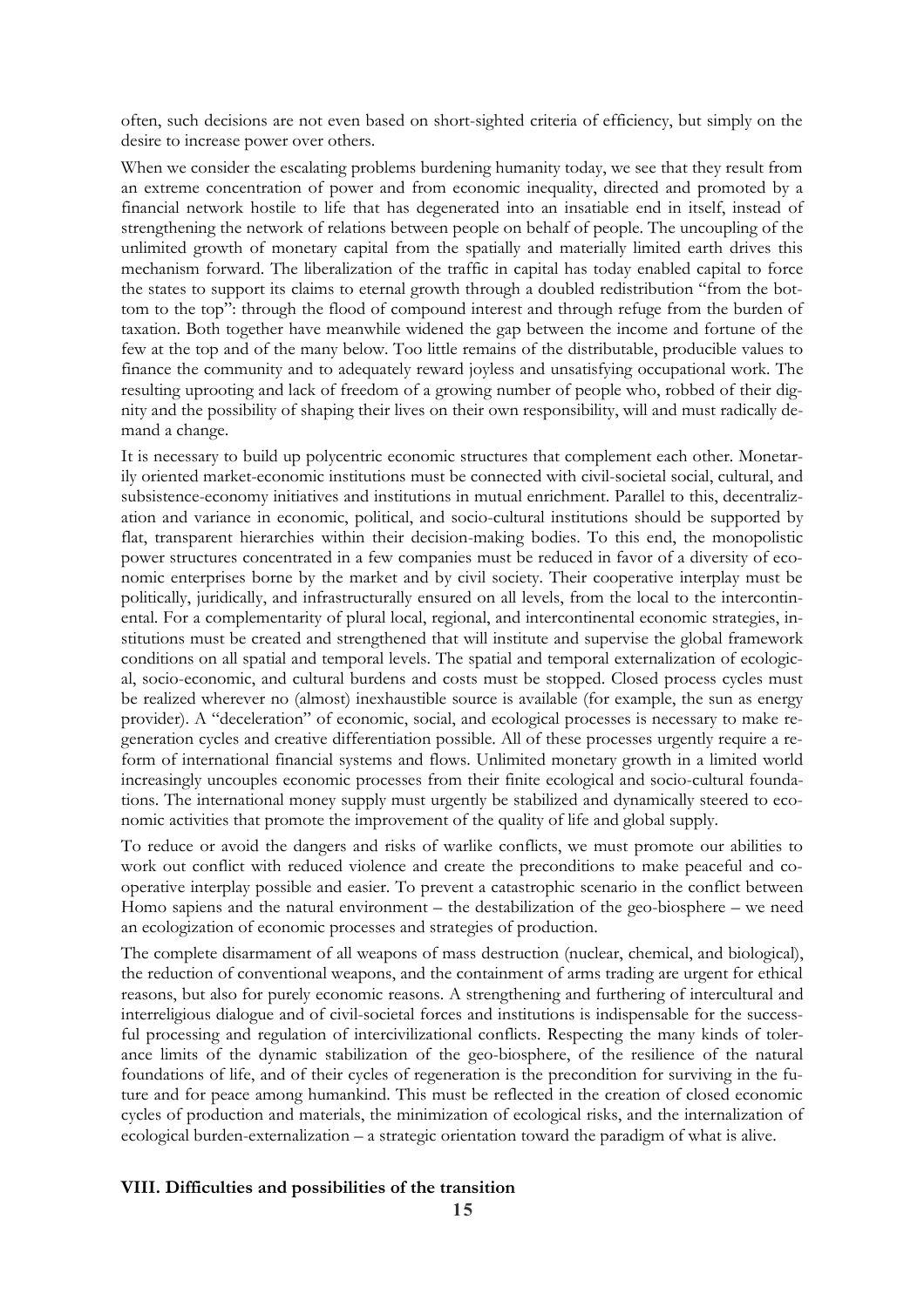often, such decisions are not even based on short-sighted criteria of efficiency, but simply on the desire to increase power over others.

When we consider the escalating problems burdening humanity today, we see that they result from an extreme concentration of power and from economic inequality, directed and promoted by a financial network hostile to life that has degenerated into an insatiable end in itself, instead of strengthening the network of relations between people on behalf of people. The uncoupling of the unlimited growth of monetary capital from the spatially and materially limited earth drives this mechanism forward. The liberalization of the traffic in capital has today enabled capital to force the states to support its claims to eternal growth through a doubled redistribution "from the bottom to the top": through the flood of compound interest and through refuge from the burden of taxation. Both together have meanwhile widened the gap between the income and fortune of the few at the top and of the many below. Too little remains of the distributable, producible values to finance the community and to adequately reward joyless and unsatisfying occupational work. The resulting uprooting and lack of freedom of a growing number of people who, robbed of their dignity and the possibility of shaping their lives on their own responsibility, will and must radically demand a change.

It is necessary to build up polycentric economic structures that complement each other. Monetarily oriented market-economic institutions must be connected with civil-societal social, cultural, and subsistence-economy initiatives and institutions in mutual enrichment. Parallel to this, decentralization and variance in economic, political, and socio-cultural institutions should be supported by flat, transparent hierarchies within their decision-making bodies. To this end, the monopolistic power structures concentrated in a few companies must be reduced in favor of a diversity of economic enterprises borne by the market and by civil society. Their cooperative interplay must be politically, juridically, and infrastructurally ensured on all levels, from the local to the intercontinental. For a complementarity of plural local, regional, and intercontinental economic strategies, institutions must be created and strengthened that will institute and supervise the global framework conditions on all spatial and temporal levels. The spatial and temporal externalization of ecological, socio-economic, and cultural burdens and costs must be stopped. Closed process cycles must be realized wherever no (almost) inexhaustible source is available (for example, the sun as energy provider). A "deceleration" of economic, social, and ecological processes is necessary to make regeneration cycles and creative differentiation possible. All of these processes urgently require a reform of international financial systems and flows. Unlimited monetary growth in a limited world increasingly uncouples economic processes from their finite ecological and socio-cultural foundations. The international money supply must urgently be stabilized and dynamically steered to economic activities that promote the improvement of the quality of life and global supply.

To reduce or avoid the dangers and risks of warlike conflicts, we must promote our abilities to work out conflict with reduced violence and create the preconditions to make peaceful and cooperative interplay possible and easier. To prevent a catastrophic scenario in the conflict between Homo sapiens and the natural environment – the destabilization of the geo-biosphere – we need an ecologization of economic processes and strategies of production.

The complete disarmament of all weapons of mass destruction (nuclear, chemical, and biological), the reduction of conventional weapons, and the containment of arms trading are urgent for ethical reasons, but also for purely economic reasons. A strengthening and furthering of intercultural and interreligious dialogue and of civil-societal forces and institutions is indispensable for the successful processing and regulation of intercivilizational conflicts. Respecting the many kinds of tolerance limits of the dynamic stabilization of the geo-biosphere, of the resilience of the natural foundations of life, and of their cycles of regeneration is the precondition for surviving in the future and for peace among humankind. This must be reflected in the creation of closed economic cycles of production and materials, the minimization of ecological risks, and the internalization of ecological burden-externalization – a strategic orientation toward the paradigm of what is alive.

## **VIII. Difficulties and possibilities of the transition**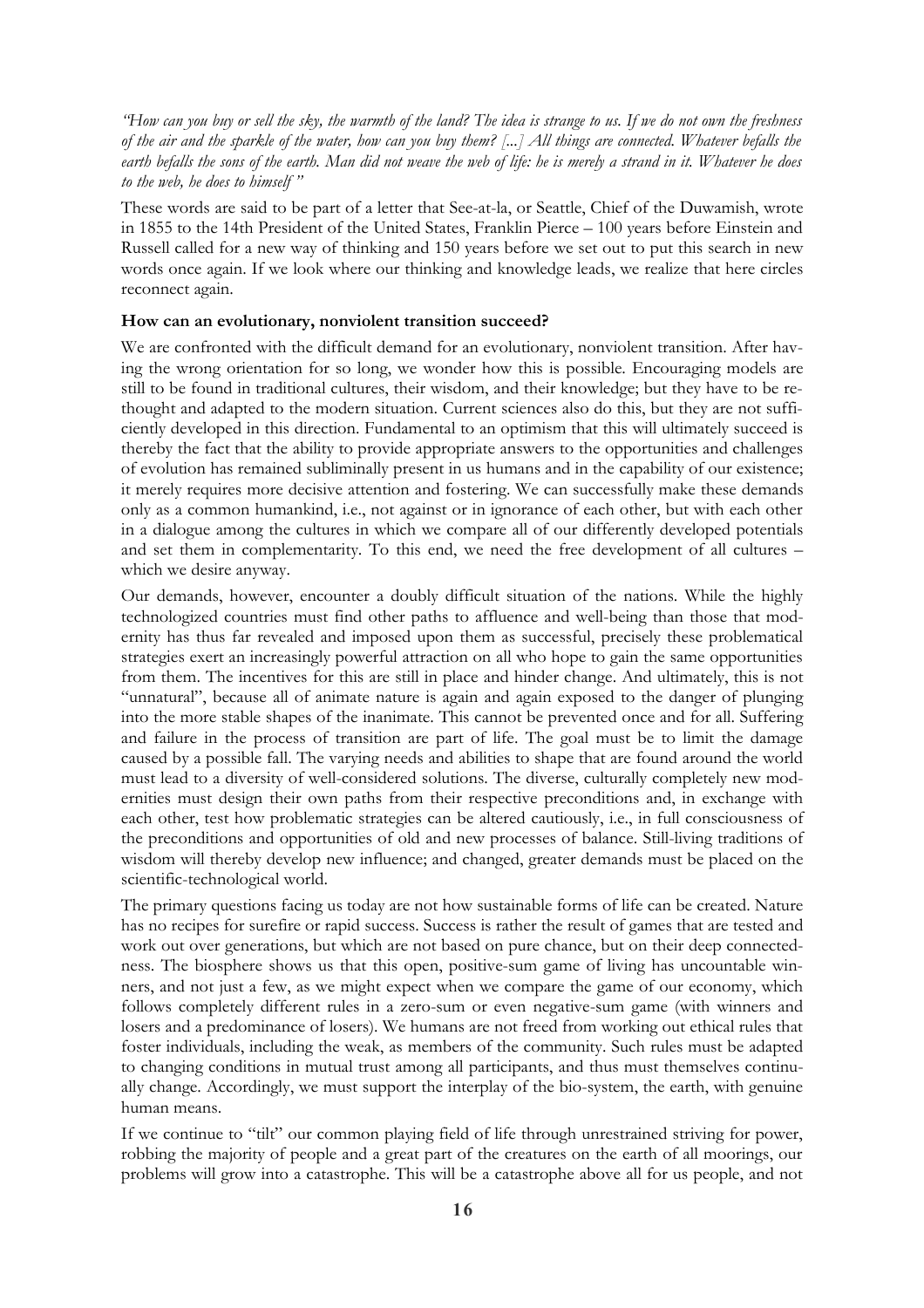"How can you buy or sell the sky, the warmth of the land? The idea is strange to us. If we do not own the freshness of the air and the sparkle of the water, how can you buy them? [...] All things are connected. Whatever befalls the earth befalls the sons of the earth. Man did not weave the web of life: he is merely a strand in it. Whatever he does *to the web, he does to himself "*

These words are said to be part of a letter that See-at-la, or Seattle, Chief of the Duwamish, wrote in 1855 to the 14th President of the United States, Franklin Pierce – 100 years before Einstein and Russell called for a new way of thinking and 150 years before we set out to put this search in new words once again. If we look where our thinking and knowledge leads, we realize that here circles reconnect again.

#### **How can an evolutionary, nonviolent transition succeed?**

We are confronted with the difficult demand for an evolutionary, nonviolent transition. After having the wrong orientation for so long, we wonder how this is possible. Encouraging models are still to be found in traditional cultures, their wisdom, and their knowledge; but they have to be rethought and adapted to the modern situation. Current sciences also do this, but they are not sufficiently developed in this direction. Fundamental to an optimism that this will ultimately succeed is thereby the fact that the ability to provide appropriate answers to the opportunities and challenges of evolution has remained subliminally present in us humans and in the capability of our existence; it merely requires more decisive attention and fostering. We can successfully make these demands only as a common humankind, i.e., not against or in ignorance of each other, but with each other in a dialogue among the cultures in which we compare all of our differently developed potentials and set them in complementarity. To this end, we need the free development of all cultures – which we desire anyway.

Our demands, however, encounter a doubly difficult situation of the nations. While the highly technologized countries must find other paths to affluence and well-being than those that modernity has thus far revealed and imposed upon them as successful, precisely these problematical strategies exert an increasingly powerful attraction on all who hope to gain the same opportunities from them. The incentives for this are still in place and hinder change. And ultimately, this is not "unnatural", because all of animate nature is again and again exposed to the danger of plunging into the more stable shapes of the inanimate. This cannot be prevented once and for all. Suffering and failure in the process of transition are part of life. The goal must be to limit the damage caused by a possible fall. The varying needs and abilities to shape that are found around the world must lead to a diversity of well-considered solutions. The diverse, culturally completely new modernities must design their own paths from their respective preconditions and, in exchange with each other, test how problematic strategies can be altered cautiously, i.e., in full consciousness of the preconditions and opportunities of old and new processes of balance. Still-living traditions of wisdom will thereby develop new influence; and changed, greater demands must be placed on the scientific-technological world.

The primary questions facing us today are not how sustainable forms of life can be created. Nature has no recipes for surefire or rapid success. Success is rather the result of games that are tested and work out over generations, but which are not based on pure chance, but on their deep connectedness. The biosphere shows us that this open, positive-sum game of living has uncountable winners, and not just a few, as we might expect when we compare the game of our economy, which follows completely different rules in a zero-sum or even negative-sum game (with winners and losers and a predominance of losers). We humans are not freed from working out ethical rules that foster individuals, including the weak, as members of the community. Such rules must be adapted to changing conditions in mutual trust among all participants, and thus must themselves continually change. Accordingly, we must support the interplay of the bio-system, the earth, with genuine human means.

If we continue to "tilt" our common playing field of life through unrestrained striving for power, robbing the majority of people and a great part of the creatures on the earth of all moorings, our problems will grow into a catastrophe. This will be a catastrophe above all for us people, and not